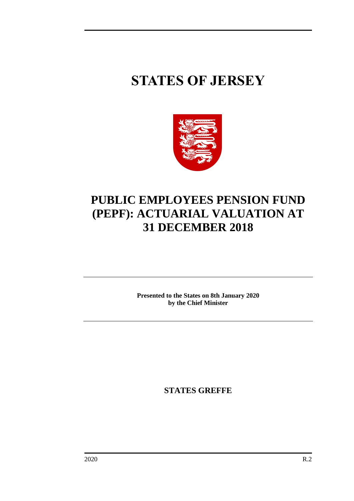# **STATES OF JERSEY**



# **PUBLIC EMPLOYEES PENSION FUND (PEPF): ACTUARIAL VALUATION AT 31 DECEMBER 2018**

**Presented to the States on 8th January 2020 by the Chief Minister**

**STATES GREFFE**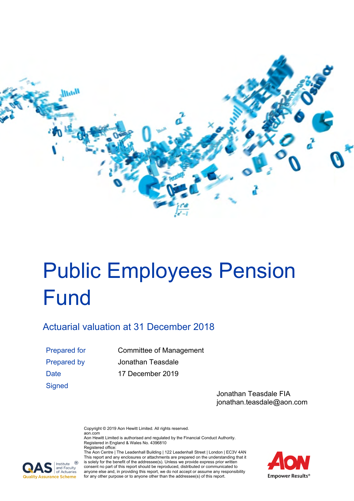

# Public Employees Pension **Fund**

# Actuarial valuation at 31 December 2018

**Signed** 

Prepared for Committee of Management Prepared by Jonathan Teasdale Date 17 December 2019

> Jonathan Teasdale FIA jonathan.teasdale@aon.com

Copyright © 2019 Aon Hewitt Limited. All rights reserved. aon.com

Aon Hewitt Limited is authorised and regulated by the Financial Conduct Authority. Registered in England & Wales No. 4396810 Registered office:



The Aon Centre | The Leadenhall Building | 122 Leadenhall Street | London | EC3V 4AN This report and any enclosures or attachments are prepared on the understanding that it is solely for the benefit of the addressee(s). Unless we provide express prior written consent no part of this report should be reproduced, distributed or communicated to anyone else and, in providing this report, we do not accept or assume any responsibility for any other purpose or to anyone other than the addressee(s) of this report.

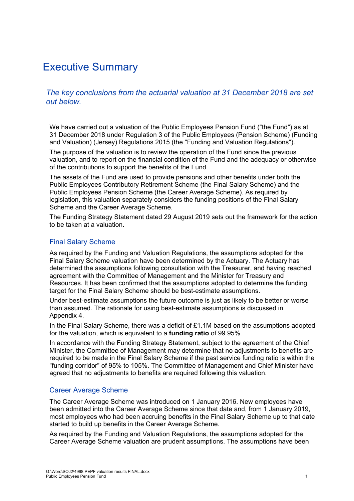# Executive Summary

*The key conclusions from the actuarial valuation at 31 December 2018 are set out below.* 

We have carried out a valuation of the Public Employees Pension Fund ("the Fund") as at 31 December 2018 under Regulation 3 of the Public Employees (Pension Scheme) (Funding and Valuation) (Jersey) Regulations 2015 (the "Funding and Valuation Regulations").

The purpose of the valuation is to review the operation of the Fund since the previous valuation, and to report on the financial condition of the Fund and the adequacy or otherwise of the contributions to support the benefits of the Fund.

The assets of the Fund are used to provide pensions and other benefits under both the Public Employees Contributory Retirement Scheme (the Final Salary Scheme) and the Public Employees Pension Scheme (the Career Average Scheme). As required by legislation, this valuation separately considers the funding positions of the Final Salary Scheme and the Career Average Scheme.

The Funding Strategy Statement dated 29 August 2019 sets out the framework for the action to be taken at a valuation.

#### Final Salary Scheme

As required by the Funding and Valuation Regulations, the assumptions adopted for the Final Salary Scheme valuation have been determined by the Actuary. The Actuary has determined the assumptions following consultation with the Treasurer, and having reached agreement with the Committee of Management and the Minister for Treasury and Resources. It has been confirmed that the assumptions adopted to determine the funding target for the Final Salary Scheme should be best-estimate assumptions.

Under best-estimate assumptions the future outcome is just as likely to be better or worse than assumed. The rationale for using best-estimate assumptions is discussed in Appendix 4.

In the Final Salary Scheme, there was a deficit of  $£1.1M$  based on the assumptions adopted for the valuation, which is equivalent to a **funding ratio** of 99.95%.

In accordance with the Funding Strategy Statement, subject to the agreement of the Chief Minister, the Committee of Management may determine that no adjustments to benefits are required to be made in the Final Salary Scheme if the past service funding ratio is within the "funding corridor" of 95% to 105%. The Committee of Management and Chief Minister have agreed that no adjustments to benefits are required following this valuation.

#### Career Average Scheme

The Career Average Scheme was introduced on 1 January 2016. New employees have been admitted into the Career Average Scheme since that date and, from 1 January 2019, most employees who had been accruing benefits in the Final Salary Scheme up to that date started to build up benefits in the Career Average Scheme.

As required by the Funding and Valuation Regulations, the assumptions adopted for the Career Average Scheme valuation are prudent assumptions. The assumptions have been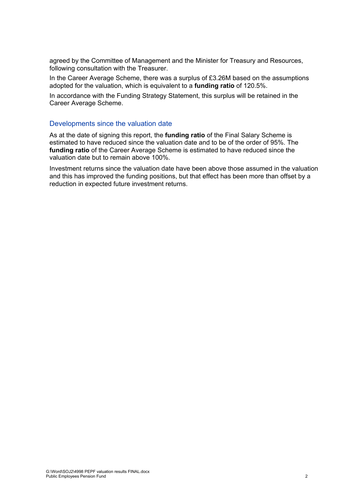agreed by the Committee of Management and the Minister for Treasury and Resources, following consultation with the Treasurer.

In the Career Average Scheme, there was a surplus of £3.26M based on the assumptions adopted for the valuation, which is equivalent to a **funding ratio** of 120.5%.

In accordance with the Funding Strategy Statement, this surplus will be retained in the Career Average Scheme.

#### Developments since the valuation date

As at the date of signing this report, the **funding ratio** of the Final Salary Scheme is estimated to have reduced since the valuation date and to be of the order of 95%. The **funding ratio** of the Career Average Scheme is estimated to have reduced since the valuation date but to remain above 100%.

Investment returns since the valuation date have been above those assumed in the valuation and this has improved the funding positions, but that effect has been more than offset by a reduction in expected future investment returns.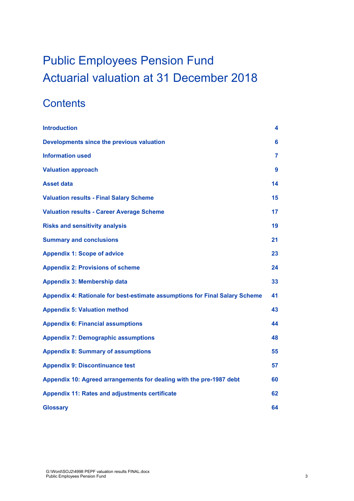# Public Employees Pension Fund Actuarial valuation at 31 December 2018

# **Contents**

| <b>Introduction</b>                                                         | 4  |
|-----------------------------------------------------------------------------|----|
| Developments since the previous valuation                                   | 6  |
| <b>Information used</b>                                                     | 7  |
| <b>Valuation approach</b>                                                   | 9  |
| <b>Asset data</b>                                                           | 14 |
| <b>Valuation results - Final Salary Scheme</b>                              | 15 |
| <b>Valuation results - Career Average Scheme</b>                            | 17 |
| <b>Risks and sensitivity analysis</b>                                       | 19 |
| <b>Summary and conclusions</b>                                              | 21 |
| <b>Appendix 1: Scope of advice</b>                                          | 23 |
| <b>Appendix 2: Provisions of scheme</b>                                     | 24 |
| <b>Appendix 3: Membership data</b>                                          | 33 |
| Appendix 4: Rationale for best-estimate assumptions for Final Salary Scheme | 41 |
| <b>Appendix 5: Valuation method</b>                                         | 43 |
| <b>Appendix 6: Financial assumptions</b>                                    | 44 |
| <b>Appendix 7: Demographic assumptions</b>                                  | 48 |
| <b>Appendix 8: Summary of assumptions</b>                                   | 55 |
| <b>Appendix 9: Discontinuance test</b>                                      | 57 |
| Appendix 10: Agreed arrangements for dealing with the pre-1987 debt         | 60 |
| <b>Appendix 11: Rates and adjustments certificate</b>                       | 62 |
| <b>Glossary</b>                                                             | 64 |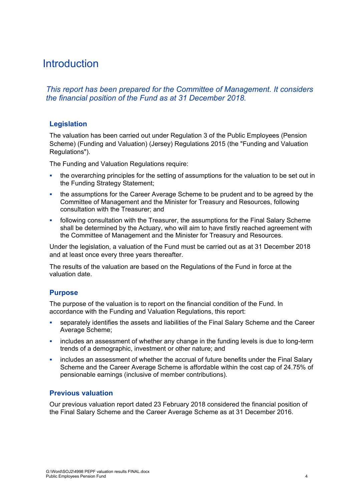# **Introduction**

*This report has been prepared for the Committee of Management. It considers the financial position of the Fund as at 31 December 2018.* 

# **Legislation**

The valuation has been carried out under Regulation 3 of the Public Employees (Pension Scheme) (Funding and Valuation) (Jersey) Regulations 2015 (the "Funding and Valuation Regulations").

The Funding and Valuation Regulations require:

- the overarching principles for the setting of assumptions for the valuation to be set out in the Funding Strategy Statement;
- the assumptions for the Career Average Scheme to be prudent and to be agreed by the Committee of Management and the Minister for Treasury and Resources, following consultation with the Treasurer; and
- following consultation with the Treasurer, the assumptions for the Final Salary Scheme shall be determined by the Actuary, who will aim to have firstly reached agreement with the Committee of Management and the Minister for Treasury and Resources.

Under the legislation, a valuation of the Fund must be carried out as at 31 December 2018 and at least once every three years thereafter.

The results of the valuation are based on the Regulations of the Fund in force at the valuation date.

# **Purpose**

The purpose of the valuation is to report on the financial condition of the Fund. In accordance with the Funding and Valuation Regulations, this report:

- separately identifies the assets and liabilities of the Final Salary Scheme and the Career Average Scheme;
- **EXED** includes an assessment of whether any change in the funding levels is due to long-term trends of a demographic, investment or other nature; and
- includes an assessment of whether the accrual of future benefits under the Final Salary Scheme and the Career Average Scheme is affordable within the cost cap of 24.75% of pensionable earnings (inclusive of member contributions).

# **Previous valuation**

Our previous valuation report dated 23 February 2018 considered the financial position of the Final Salary Scheme and the Career Average Scheme as at 31 December 2016.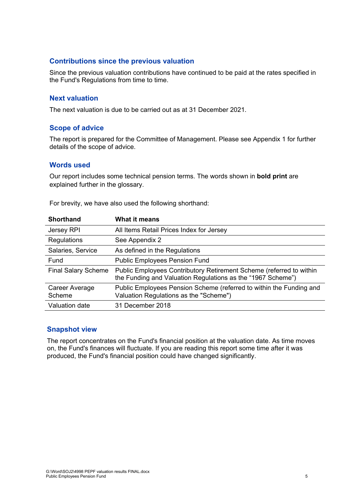# **Contributions since the previous valuation**

Since the previous valuation contributions have continued to be paid at the rates specified in the Fund's Regulations from time to time.

# **Next valuation**

The next valuation is due to be carried out as at 31 December 2021.

#### **Scope of advice**

The report is prepared for the Committee of Management. Please see Appendix 1 for further details of the scope of advice.

# **Words used**

Our report includes some technical pension terms. The words shown in **bold print** are explained further in the glossary.

| <b>Shorthand</b>           | <b>What it means</b>                                                                                                               |
|----------------------------|------------------------------------------------------------------------------------------------------------------------------------|
| Jersey RPI                 | All Items Retail Prices Index for Jersey                                                                                           |
| Regulations                | See Appendix 2                                                                                                                     |
| Salaries, Service          | As defined in the Regulations                                                                                                      |
| Fund                       | <b>Public Employees Pension Fund</b>                                                                                               |
| <b>Final Salary Scheme</b> | Public Employees Contributory Retirement Scheme (referred to within<br>the Funding and Valuation Regulations as the "1967 Scheme") |
| Career Average<br>Scheme   | Public Employees Pension Scheme (referred to within the Funding and<br>Valuation Regulations as the "Scheme")                      |
| Valuation date             | 31 December 2018                                                                                                                   |
|                            |                                                                                                                                    |

#### **Snapshot view**

The report concentrates on the Fund's financial position at the valuation date. As time moves on, the Fund's finances will fluctuate. If you are reading this report some time after it was produced, the Fund's financial position could have changed significantly.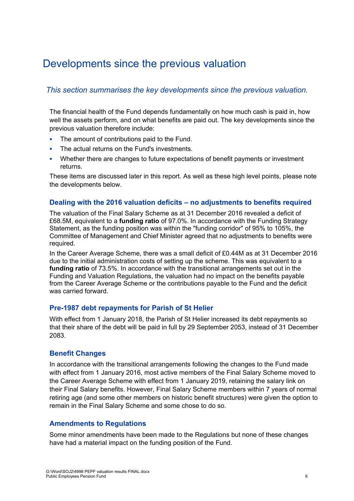# Developments since the previous valuation

# *This section summarises the key developments since the previous valuation.*

The financial health of the Fund depends fundamentally on how much cash is paid in, how well the assets perform, and on what benefits are paid out. The key developments since the previous valuation therefore include:

- The amount of contributions paid to the Fund.
- The actual returns on the Fund's investments.
- Whether there are changes to future expectations of benefit payments or investment returns.

These items are discussed later in this report. As well as these high level points, please note the developments below.

#### **Dealing with the 2016 valuation deficits – no adjustments to benefits required**

The valuation of the Final Salary Scheme as at 31 December 2016 revealed a deficit of £68.5M, equivalent to a **funding ratio** of 97.0%. In accordance with the Funding Strategy Statement, as the funding position was within the "funding corridor" of 95% to 105%, the Committee of Management and Chief Minister agreed that no adjustments to benefits were required.

In the Career Average Scheme, there was a small deficit of £0.44M as at 31 December 2016 due to the initial administration costs of setting up the scheme. This was equivalent to a **funding ratio** of 73.5%. In accordance with the transitional arrangements set out in the Funding and Valuation Regulations, the valuation had no impact on the benefits payable from the Career Average Scheme or the contributions payable to the Fund and the deficit was carried forward.

# **Pre-1987 debt repayments for Parish of St Helier**

With effect from 1 January 2018, the Parish of St Helier increased its debt repayments so that their share of the debt will be paid in full by 29 September 2053, instead of 31 December 2083.

# **Benefit Changes**

In accordance with the transitional arrangements following the changes to the Fund made with effect from 1 January 2016, most active members of the Final Salary Scheme moved to the Career Average Scheme with effect from 1 January 2019, retaining the salary link on their Final Salary benefits. However, Final Salary Scheme members within 7 years of normal retiring age (and some other members on historic benefit structures) were given the option to remain in the Final Salary Scheme and some chose to do so.

#### **Amendments to Regulations**

Some minor amendments have been made to the Regulations but none of these changes have had a material impact on the funding position of the Fund.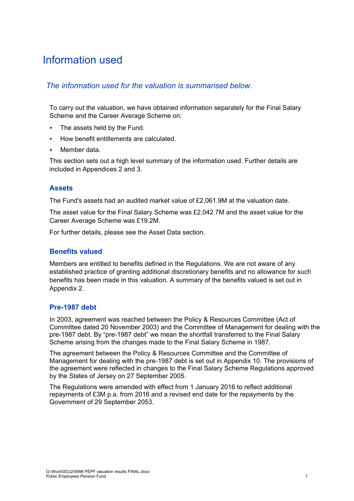# Information used

# *The information used for the valuation is summarised below.*

To carry out the valuation, we have obtained information separately for the Final Salary Scheme and the Career Average Scheme on:

- The assets held by the Fund.
- How benefit entitlements are calculated.
- Member data.

This section sets out a high level summary of the information used. Further details are included in Appendices 2 and 3.

# **Assets**

The Fund's assets had an audited market value of £2,061.9M at the valuation date.

The asset value for the Final Salary Scheme was £2,042.7M and the asset value for the Career Average Scheme was £19.2M.

For further details, please see the Asset Data section.

# **Benefits valued**

Members are entitled to benefits defined in the Regulations. We are not aware of any established practice of granting additional discretionary benefits and no allowance for such benefits has been made in this valuation. A summary of the benefits valued is set out in Appendix 2.

# **Pre-1987 debt**

In 2003, agreement was reached between the Policy & Resources Committee (Act of Committee dated 20 November 2003) and the Committee of Management for dealing with the pre-1987 debt. By "pre-1987 debt" we mean the shortfall transferred to the Final Salary Scheme arising from the changes made to the Final Salary Scheme in 1987.

The agreement between the Policy & Resources Committee and the Committee of Management for dealing with the pre-1987 debt is set out in Appendix 10. The provisions of the agreement were reflected in changes to the Final Salary Scheme Regulations approved by the States of Jersey on 27 September 2005.

The Regulations were amended with effect from 1 January 2016 to reflect additional repayments of £3M p.a. from 2016 and a revised end date for the repayments by the Government of 29 September 2053.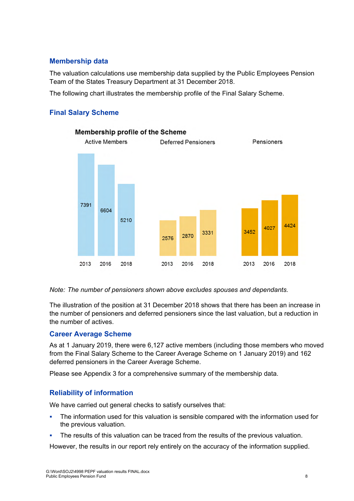# **Membership data**

The valuation calculations use membership data supplied by the Public Employees Pension Team of the States Treasury Department at 31 December 2018.

The following chart illustrates the membership profile of the Final Salary Scheme.

# **Final Salary Scheme**



#### *Note: The number of pensioners shown above excludes spouses and dependants.*

The illustration of the position at 31 December 2018 shows that there has been an increase in the number of pensioners and deferred pensioners since the last valuation, but a reduction in the number of actives.

# **Career Average Scheme**

As at 1 January 2019, there were 6,127 active members (including those members who moved from the Final Salary Scheme to the Career Average Scheme on 1 January 2019) and 162 deferred pensioners in the Career Average Scheme.

Please see Appendix 3 for a comprehensive summary of the membership data.

# **Reliability of information**

We have carried out general checks to satisfy ourselves that:

- The information used for this valuation is sensible compared with the information used for the previous valuation.
- The results of this valuation can be traced from the results of the previous valuation.

However, the results in our report rely entirely on the accuracy of the information supplied.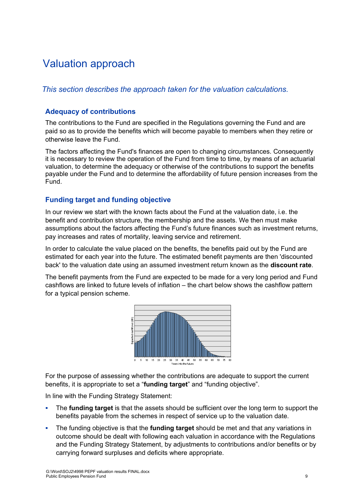# Valuation approach

# *This section describes the approach taken for the valuation calculations.*

# **Adequacy of contributions**

The contributions to the Fund are specified in the Regulations governing the Fund and are paid so as to provide the benefits which will become payable to members when they retire or otherwise leave the Fund.

The factors affecting the Fund's finances are open to changing circumstances. Consequently it is necessary to review the operation of the Fund from time to time, by means of an actuarial valuation, to determine the adequacy or otherwise of the contributions to support the benefits payable under the Fund and to determine the affordability of future pension increases from the Fund.

# **Funding target and funding objective**

In our review we start with the known facts about the Fund at the valuation date, i.e. the benefit and contribution structure, the membership and the assets. We then must make assumptions about the factors affecting the Fund's future finances such as investment returns, pay increases and rates of mortality, leaving service and retirement.

In order to calculate the value placed on the benefits, the benefits paid out by the Fund are estimated for each year into the future. The estimated benefit payments are then 'discounted back' to the valuation date using an assumed investment return known as the **discount rate**.

The benefit payments from the Fund are expected to be made for a very long period and Fund cashflows are linked to future levels of inflation – the chart below shows the cashflow pattern for a typical pension scheme.



For the purpose of assessing whether the contributions are adequate to support the current benefits, it is appropriate to set a "**funding target**" and "funding objective".

In line with the Funding Strategy Statement:

- The **funding target** is that the assets should be sufficient over the long term to support the benefits payable from the schemes in respect of service up to the valuation date.
- The funding objective is that the **funding target** should be met and that any variations in outcome should be dealt with following each valuation in accordance with the Regulations and the Funding Strategy Statement, by adjustments to contributions and/or benefits or by carrying forward surpluses and deficits where appropriate.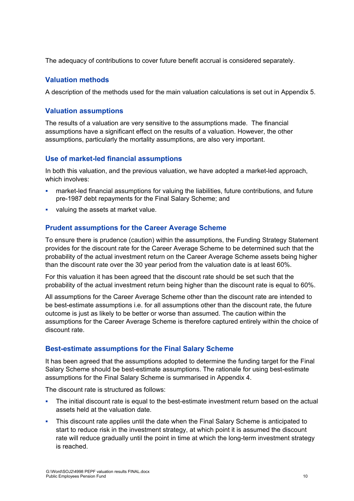The adequacy of contributions to cover future benefit accrual is considered separately.

# **Valuation methods**

A description of the methods used for the main valuation calculations is set out in Appendix 5.

# **Valuation assumptions**

The results of a valuation are very sensitive to the assumptions made. The financial assumptions have a significant effect on the results of a valuation. However, the other assumptions, particularly the mortality assumptions, are also very important.

# **Use of market-led financial assumptions**

In both this valuation, and the previous valuation, we have adopted a market-led approach, which involves:

- market-led financial assumptions for valuing the liabilities, future contributions, and future pre-1987 debt repayments for the Final Salary Scheme; and
- valuing the assets at market value.

# **Prudent assumptions for the Career Average Scheme**

To ensure there is prudence (caution) within the assumptions, the Funding Strategy Statement provides for the discount rate for the Career Average Scheme to be determined such that the probability of the actual investment return on the Career Average Scheme assets being higher than the discount rate over the 30 year period from the valuation date is at least 60%.

For this valuation it has been agreed that the discount rate should be set such that the probability of the actual investment return being higher than the discount rate is equal to 60%.

All assumptions for the Career Average Scheme other than the discount rate are intended to be best-estimate assumptions i.e. for all assumptions other than the discount rate, the future outcome is just as likely to be better or worse than assumed. The caution within the assumptions for the Career Average Scheme is therefore captured entirely within the choice of discount rate.

# **Best-estimate assumptions for the Final Salary Scheme**

It has been agreed that the assumptions adopted to determine the funding target for the Final Salary Scheme should be best-estimate assumptions. The rationale for using best-estimate assumptions for the Final Salary Scheme is summarised in Appendix 4.

The discount rate is structured as follows:

- The initial discount rate is equal to the best-estimate investment return based on the actual assets held at the valuation date.
- This discount rate applies until the date when the Final Salary Scheme is anticipated to start to reduce risk in the investment strategy, at which point it is assumed the discount rate will reduce gradually until the point in time at which the long-term investment strategy is reached.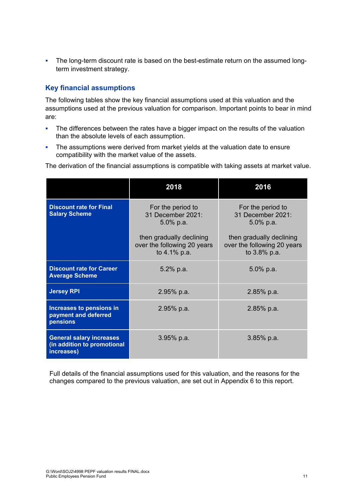• The long-term discount rate is based on the best-estimate return on the assumed longterm investment strategy.

# **Key financial assumptions**

The following tables show the key financial assumptions used at this valuation and the assumptions used at the previous valuation for comparison. Important points to bear in mind are:

- The differences between the rates have a bigger impact on the results of the valuation than the absolute levels of each assumption.
- The assumptions were derived from market yields at the valuation date to ensure compatibility with the market value of the assets.

The derivation of the financial assumptions is compatible with taking assets at market value.

|                                                                              | 2018                                                                    | 2016                                                                    |
|------------------------------------------------------------------------------|-------------------------------------------------------------------------|-------------------------------------------------------------------------|
| <b>Discount rate for Final</b><br><b>Salary Scheme</b>                       | For the period to<br>31 December 2021:<br>$5.0\%$ p.a.                  | For the period to<br>31 December 2021:<br>$5.0\%$ p.a.                  |
|                                                                              | then gradually declining<br>over the following 20 years<br>to 4.1% p.a. | then gradually declining<br>over the following 20 years<br>to 3.8% p.a. |
| <b>Discount rate for Career</b><br><b>Average Scheme</b>                     | 5.2% p.a.                                                               | 5.0% p.a.                                                               |
| <b>Jersey RPI</b>                                                            | 2.95% p.a.                                                              | $2.85%$ p.a.                                                            |
| Increases to pensions in<br>payment and deferred<br>pensions                 | 2.95% p.a.                                                              | $2.85%$ p.a.                                                            |
| <b>General salary increases</b><br>(in addition to promotional<br>increases) | $3.95%$ p.a.                                                            | $3.85%$ p.a.                                                            |

Full details of the financial assumptions used for this valuation, and the reasons for the changes compared to the previous valuation, are set out in Appendix 6 to this report.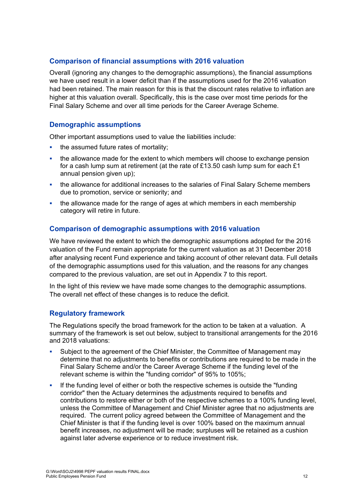# **Comparison of financial assumptions with 2016 valuation**

Overall (ignoring any changes to the demographic assumptions), the financial assumptions we have used result in a lower deficit than if the assumptions used for the 2016 valuation had been retained. The main reason for this is that the discount rates relative to inflation are higher at this valuation overall. Specifically, this is the case over most time periods for the Final Salary Scheme and over all time periods for the Career Average Scheme.

# **Demographic assumptions**

Other important assumptions used to value the liabilities include:

- the assumed future rates of mortality;
- the allowance made for the extent to which members will choose to exchange pension for a cash lump sum at retirement (at the rate of £13.50 cash lump sum for each £1 annual pension given up);
- the allowance for additional increases to the salaries of Final Salary Scheme members due to promotion, service or seniority; and
- the allowance made for the range of ages at which members in each membership category will retire in future.

# **Comparison of demographic assumptions with 2016 valuation**

We have reviewed the extent to which the demographic assumptions adopted for the 2016 valuation of the Fund remain appropriate for the current valuation as at 31 December 2018 after analysing recent Fund experience and taking account of other relevant data. Full details of the demographic assumptions used for this valuation, and the reasons for any changes compared to the previous valuation, are set out in Appendix 7 to this report.

In the light of this review we have made some changes to the demographic assumptions. The overall net effect of these changes is to reduce the deficit.

# **Regulatory framework**

The Regulations specify the broad framework for the action to be taken at a valuation. A summary of the framework is set out below, subject to transitional arrangements for the 2016 and 2018 valuations:

- Subject to the agreement of the Chief Minister, the Committee of Management may determine that no adjustments to benefits or contributions are required to be made in the Final Salary Scheme and/or the Career Average Scheme if the funding level of the relevant scheme is within the "funding corridor" of 95% to 105%;
- If the funding level of either or both the respective schemes is outside the "funding" corridor" then the Actuary determines the adjustments required to benefits and contributions to restore either or both of the respective schemes to a 100% funding level, unless the Committee of Management and Chief Minister agree that no adjustments are required. The current policy agreed between the Committee of Management and the Chief Minister is that if the funding level is over 100% based on the maximum annual benefit increases, no adjustment will be made; surpluses will be retained as a cushion against later adverse experience or to reduce investment risk.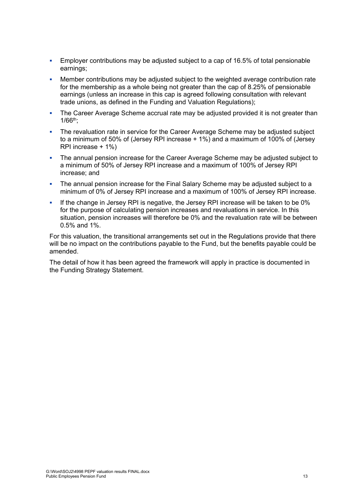- Employer contributions may be adjusted subject to a cap of 16.5% of total pensionable earnings;
- Member contributions may be adjusted subject to the weighted average contribution rate for the membership as a whole being not greater than the cap of 8.25% of pensionable earnings (unless an increase in this cap is agreed following consultation with relevant trade unions, as defined in the Funding and Valuation Regulations);
- The Career Average Scheme accrual rate may be adjusted provided it is not greater than 1/66th;
- The revaluation rate in service for the Career Average Scheme may be adjusted subject to a minimum of 50% of (Jersey RPI increase + 1%) and a maximum of 100% of (Jersey RPI increase + 1%)
- The annual pension increase for the Career Average Scheme may be adjusted subject to a minimum of 50% of Jersey RPI increase and a maximum of 100% of Jersey RPI increase; and
- The annual pension increase for the Final Salary Scheme may be adjusted subject to a minimum of 0% of Jersey RPI increase and a maximum of 100% of Jersey RPI increase.
- If the change in Jersey RPI is negative, the Jersey RPI increase will be taken to be 0% for the purpose of calculating pension increases and revaluations in service. In this situation, pension increases will therefore be 0% and the revaluation rate will be between 0.5% and 1%.

For this valuation, the transitional arrangements set out in the Regulations provide that there will be no impact on the contributions payable to the Fund, but the benefits payable could be amended.

The detail of how it has been agreed the framework will apply in practice is documented in the Funding Strategy Statement.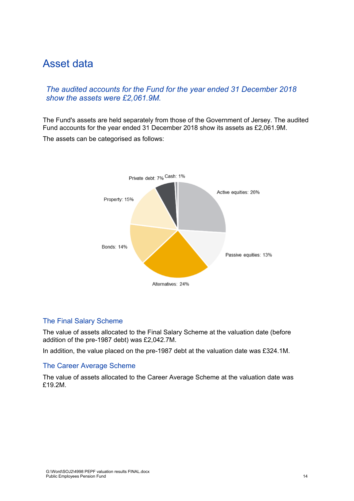# Asset data

# *The audited accounts for the Fund for the year ended 31 December 2018 show the assets were £2,061.9M.*

The Fund's assets are held separately from those of the Government of Jersey. The audited Fund accounts for the year ended 31 December 2018 show its assets as £2,061.9M.

The assets can be categorised as follows:



# The Final Salary Scheme

The value of assets allocated to the Final Salary Scheme at the valuation date (before addition of the pre-1987 debt) was £2,042.7M.

In addition, the value placed on the pre-1987 debt at the valuation date was £324.1M.

#### The Career Average Scheme

The value of assets allocated to the Career Average Scheme at the valuation date was £19.2M.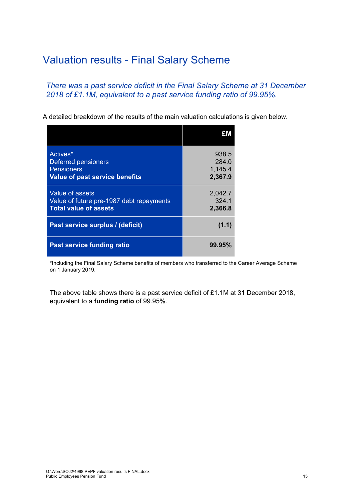# Valuation results - Final Salary Scheme

*There was a past service deficit in the Final Salary Scheme at 31 December 2018 of £1.1M, equivalent to a past service funding ratio of 99.95%.* 

A detailed breakdown of the results of the main valuation calculations is given below.

| Actives*<br>Deferred pensioners<br><b>Pensioners</b><br>Value of past service benefits      | 938.5<br>284.0<br>1,145.4<br>2,367.9 |
|---------------------------------------------------------------------------------------------|--------------------------------------|
| Value of assets<br>Value of future pre-1987 debt repayments<br><b>Total value of assets</b> | 2,042.7<br>324.1<br>2,366.8          |
| Past service surplus / (deficit)                                                            | (1.1)                                |
| Past service funding ratio                                                                  | 99.95%                               |

\*Including the Final Salary Scheme benefits of members who transferred to the Career Average Scheme on 1 January 2019.

The above table shows there is a past service deficit of £1.1M at 31 December 2018, equivalent to a **funding ratio** of 99.95%.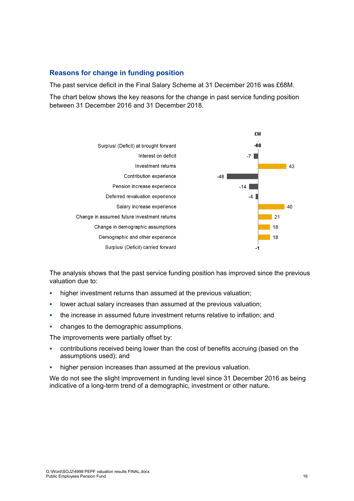# **Reasons for change in funding position**

The past service deficit in the Final Salary Scheme at 31 December 2016 was £68M.

The chart below shows the key reasons for the change in past service funding position between 31 December 2016 and 31 December 2018.



The analysis shows that the past service funding position has improved since the previous valuation due to:

- higher investment returns than assumed at the previous valuation;
- lower actual salary increases than assumed at the previous valuation;
- the increase in assumed future investment returns relative to inflation; and
- changes to the demographic assumptions.

The improvements were partially offset by:

- contributions received being lower than the cost of benefits accruing (based on the assumptions used); and
- higher pension increases than assumed at the previous valuation.

We do not see the slight improvement in funding level since 31 December 2016 as being indicative of a long-term trend of a demographic, investment or other nature.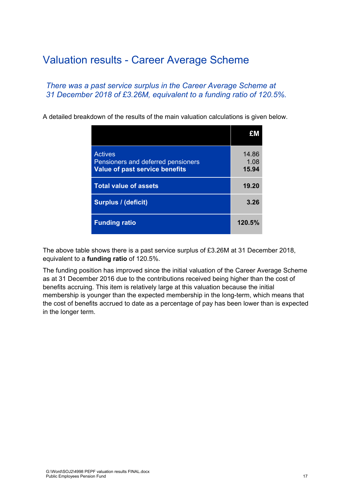# Valuation results - Career Average Scheme

# *There was a past service surplus in the Career Average Scheme at 31 December 2018 of £3.26M, equivalent to a funding ratio of 120.5%.*

A detailed breakdown of the results of the main valuation calculations is given below.

| <b>Actives</b><br>Pensioners and deferred pensioners<br><b>Value of past service benefits</b> | 14.86<br>1.08<br>15.94 |
|-----------------------------------------------------------------------------------------------|------------------------|
| <b>Total value of assets</b>                                                                  | 19.20                  |
| <b>Surplus / (deficit)</b>                                                                    | 3.26                   |
| <b>Funding ratio</b>                                                                          | 120.5%                 |

The above table shows there is a past service surplus of £3.26M at 31 December 2018, equivalent to a **funding ratio** of 120.5%.

The funding position has improved since the initial valuation of the Career Average Scheme as at 31 December 2016 due to the contributions received being higher than the cost of benefits accruing. This item is relatively large at this valuation because the initial membership is younger than the expected membership in the long-term, which means that the cost of benefits accrued to date as a percentage of pay has been lower than is expected in the longer term.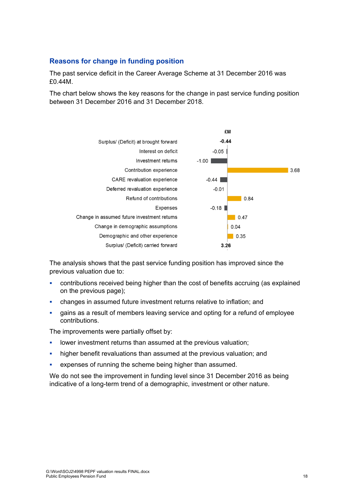# **Reasons for change in funding position**

The past service deficit in the Career Average Scheme at 31 December 2016 was £0.44M.

The chart below shows the key reasons for the change in past service funding position between 31 December 2016 and 31 December 2018.



The analysis shows that the past service funding position has improved since the previous valuation due to:

- contributions received being higher than the cost of benefits accruing (as explained on the previous page);
- changes in assumed future investment returns relative to inflation; and
- gains as a result of members leaving service and opting for a refund of employee contributions.

The improvements were partially offset by:

- **-** lower investment returns than assumed at the previous valuation;
- higher benefit revaluations than assumed at the previous valuation; and
- expenses of running the scheme being higher than assumed.

We do not see the improvement in funding level since 31 December 2016 as being indicative of a long-term trend of a demographic, investment or other nature.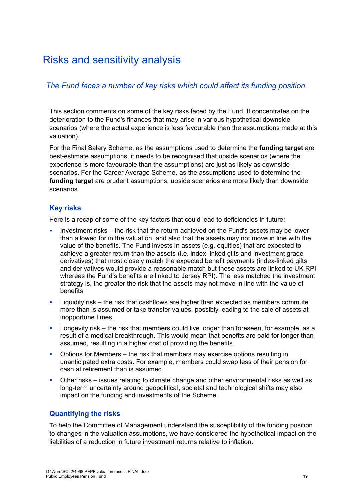# Risks and sensitivity analysis

# *The Fund faces a number of key risks which could affect its funding position.*

This section comments on some of the key risks faced by the Fund. It concentrates on the deterioration to the Fund's finances that may arise in various hypothetical downside scenarios (where the actual experience is less favourable than the assumptions made at this valuation).

For the Final Salary Scheme, as the assumptions used to determine the **funding target** are best-estimate assumptions, it needs to be recognised that upside scenarios (where the experience is more favourable than the assumptions) are just as likely as downside scenarios. For the Career Average Scheme, as the assumptions used to determine the **funding target** are prudent assumptions, upside scenarios are more likely than downside scenarios.

# **Key risks**

Here is a recap of some of the key factors that could lead to deficiencies in future:

- Investment risks the risk that the return achieved on the Fund's assets may be lower than allowed for in the valuation, and also that the assets may not move in line with the value of the benefits. The Fund invests in assets (e.g. equities) that are expected to achieve a greater return than the assets (i.e. index-linked gilts and investment grade derivatives) that most closely match the expected benefit payments (index-linked gilts and derivatives would provide a reasonable match but these assets are linked to UK RPI whereas the Fund's benefits are linked to Jersey RPI). The less matched the investment strategy is, the greater the risk that the assets may not move in line with the value of **benefits**
- Liquidity risk the risk that cashflows are higher than expected as members commute more than is assumed or take transfer values, possibly leading to the sale of assets at inopportune times.
- Longevity risk the risk that members could live longer than foreseen, for example, as a result of a medical breakthrough. This would mean that benefits are paid for longer than assumed, resulting in a higher cost of providing the benefits.
- Options for Members the risk that members may exercise options resulting in unanticipated extra costs. For example, members could swap less of their pension for cash at retirement than is assumed.
- Other risks issues relating to climate change and other environmental risks as well as long-term uncertainty around geopolitical, societal and technological shifts may also impact on the funding and investments of the Scheme.

# **Quantifying the risks**

To help the Committee of Management understand the susceptibility of the funding position to changes in the valuation assumptions, we have considered the hypothetical impact on the liabilities of a reduction in future investment returns relative to inflation.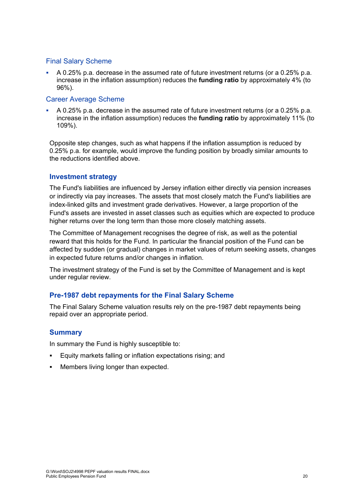#### Final Salary Scheme

 A 0.25% p.a. decrease in the assumed rate of future investment returns (or a 0.25% p.a. increase in the inflation assumption) reduces the **funding ratio** by approximately 4% (to 96%).

#### Career Average Scheme

 A 0.25% p.a. decrease in the assumed rate of future investment returns (or a 0.25% p.a. increase in the inflation assumption) reduces the **funding ratio** by approximately 11% (to 109%).

Opposite step changes, such as what happens if the inflation assumption is reduced by 0.25% p.a. for example, would improve the funding position by broadly similar amounts to the reductions identified above.

#### **Investment strategy**

The Fund's liabilities are influenced by Jersey inflation either directly via pension increases or indirectly via pay increases. The assets that most closely match the Fund's liabilities are index-linked gilts and investment grade derivatives. However, a large proportion of the Fund's assets are invested in asset classes such as equities which are expected to produce higher returns over the long term than those more closely matching assets.

The Committee of Management recognises the degree of risk, as well as the potential reward that this holds for the Fund. In particular the financial position of the Fund can be affected by sudden (or gradual) changes in market values of return seeking assets, changes in expected future returns and/or changes in inflation.

The investment strategy of the Fund is set by the Committee of Management and is kept under regular review.

# **Pre-1987 debt repayments for the Final Salary Scheme**

The Final Salary Scheme valuation results rely on the pre-1987 debt repayments being repaid over an appropriate period.

# **Summary**

In summary the Fund is highly susceptible to:

- Equity markets falling or inflation expectations rising; and
- Members living longer than expected.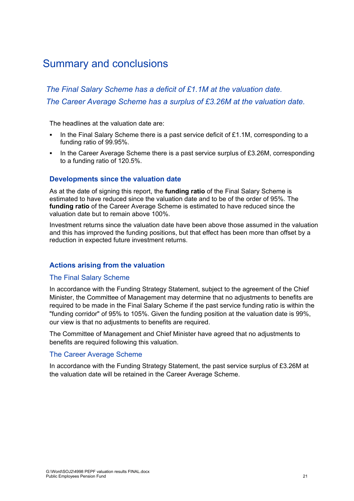# Summary and conclusions

*The Final Salary Scheme has a deficit of £1.1M at the valuation date. The Career Average Scheme has a surplus of £3.26M at the valuation date.* 

The headlines at the valuation date are:

- In the Final Salary Scheme there is a past service deficit of  $£1.1M$ , corresponding to a funding ratio of 99.95%.
- In the Career Average Scheme there is a past service surplus of  $£3.26M$ , corresponding to a funding ratio of 120.5%.

#### **Developments since the valuation date**

As at the date of signing this report, the **funding ratio** of the Final Salary Scheme is estimated to have reduced since the valuation date and to be of the order of 95%. The **funding ratio** of the Career Average Scheme is estimated to have reduced since the valuation date but to remain above 100%.

Investment returns since the valuation date have been above those assumed in the valuation and this has improved the funding positions, but that effect has been more than offset by a reduction in expected future investment returns.

#### **Actions arising from the valuation**

#### The Final Salary Scheme

In accordance with the Funding Strategy Statement, subject to the agreement of the Chief Minister, the Committee of Management may determine that no adjustments to benefits are required to be made in the Final Salary Scheme if the past service funding ratio is within the "funding corridor" of 95% to 105%. Given the funding position at the valuation date is 99%, our view is that no adjustments to benefits are required.

The Committee of Management and Chief Minister have agreed that no adjustments to benefits are required following this valuation.

#### The Career Average Scheme

In accordance with the Funding Strategy Statement, the past service surplus of £3.26M at the valuation date will be retained in the Career Average Scheme.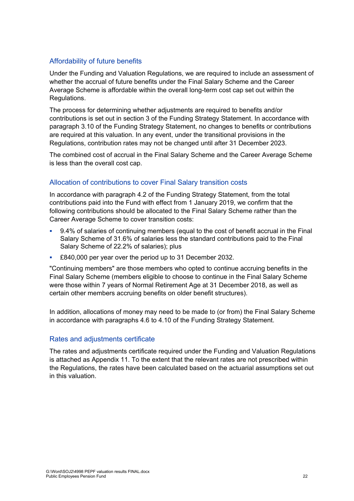# Affordability of future benefits

Under the Funding and Valuation Regulations, we are required to include an assessment of whether the accrual of future benefits under the Final Salary Scheme and the Career Average Scheme is affordable within the overall long-term cost cap set out within the Regulations.

The process for determining whether adjustments are required to benefits and/or contributions is set out in section 3 of the Funding Strategy Statement. In accordance with paragraph 3.10 of the Funding Strategy Statement, no changes to benefits or contributions are required at this valuation. In any event, under the transitional provisions in the Regulations, contribution rates may not be changed until after 31 December 2023.

The combined cost of accrual in the Final Salary Scheme and the Career Average Scheme is less than the overall cost cap.

# Allocation of contributions to cover Final Salary transition costs

In accordance with paragraph 4.2 of the Funding Strategy Statement, from the total contributions paid into the Fund with effect from 1 January 2019, we confirm that the following contributions should be allocated to the Final Salary Scheme rather than the Career Average Scheme to cover transition costs:

- 9.4% of salaries of continuing members (equal to the cost of benefit accrual in the Final Salary Scheme of 31.6% of salaries less the standard contributions paid to the Final Salary Scheme of 22.2% of salaries); plus
- £840,000 per year over the period up to 31 December 2032.

"Continuing members" are those members who opted to continue accruing benefits in the Final Salary Scheme (members eligible to choose to continue in the Final Salary Scheme were those within 7 years of Normal Retirement Age at 31 December 2018, as well as certain other members accruing benefits on older benefit structures).

In addition, allocations of money may need to be made to (or from) the Final Salary Scheme in accordance with paragraphs 4.6 to 4.10 of the Funding Strategy Statement.

# Rates and adjustments certificate

The rates and adjustments certificate required under the Funding and Valuation Regulations is attached as Appendix 11. To the extent that the relevant rates are not prescribed within the Regulations, the rates have been calculated based on the actuarial assumptions set out in this valuation.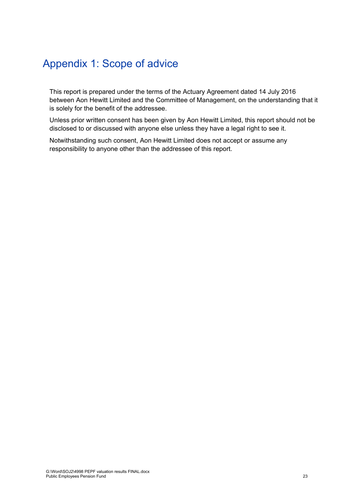# Appendix 1: Scope of advice

This report is prepared under the terms of the Actuary Agreement dated 14 July 2016 between Aon Hewitt Limited and the Committee of Management, on the understanding that it is solely for the benefit of the addressee.

Unless prior written consent has been given by Aon Hewitt Limited, this report should not be disclosed to or discussed with anyone else unless they have a legal right to see it.

Notwithstanding such consent, Aon Hewitt Limited does not accept or assume any responsibility to anyone other than the addressee of this report.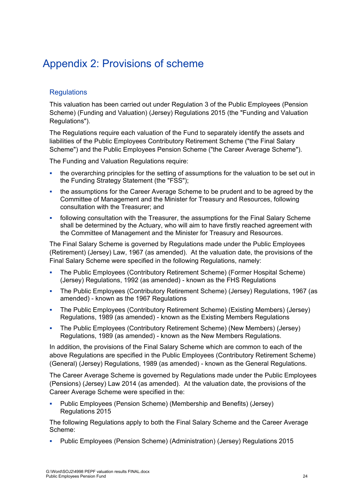# Appendix 2: Provisions of scheme

# **Requlations**

This valuation has been carried out under Regulation 3 of the Public Employees (Pension Scheme) (Funding and Valuation) (Jersey) Regulations 2015 (the "Funding and Valuation Regulations").

The Regulations require each valuation of the Fund to separately identify the assets and liabilities of the Public Employees Contributory Retirement Scheme ("the Final Salary Scheme") and the Public Employees Pension Scheme ("the Career Average Scheme").

The Funding and Valuation Regulations require:

- the overarching principles for the setting of assumptions for the valuation to be set out in the Funding Strategy Statement (the "FSS");
- the assumptions for the Career Average Scheme to be prudent and to be agreed by the Committee of Management and the Minister for Treasury and Resources, following consultation with the Treasurer; and
- following consultation with the Treasurer, the assumptions for the Final Salary Scheme shall be determined by the Actuary, who will aim to have firstly reached agreement with the Committee of Management and the Minister for Treasury and Resources.

The Final Salary Scheme is governed by Regulations made under the Public Employees (Retirement) (Jersey) Law, 1967 (as amended). At the valuation date, the provisions of the Final Salary Scheme were specified in the following Regulations, namely:

- The Public Employees (Contributory Retirement Scheme) (Former Hospital Scheme) (Jersey) Regulations, 1992 (as amended) - known as the FHS Regulations
- The Public Employees (Contributory Retirement Scheme) (Jersey) Regulations, 1967 (as amended) - known as the 1967 Regulations
- The Public Employees (Contributory Retirement Scheme) (Existing Members) (Jersey) Regulations, 1989 (as amended) - known as the Existing Members Regulations
- The Public Employees (Contributory Retirement Scheme) (New Members) (Jersey) Regulations, 1989 (as amended) - known as the New Members Regulations.

In addition, the provisions of the Final Salary Scheme which are common to each of the above Regulations are specified in the Public Employees (Contributory Retirement Scheme) (General) (Jersey) Regulations, 1989 (as amended) - known as the General Regulations.

The Career Average Scheme is governed by Regulations made under the Public Employees (Pensions) (Jersey) Law 2014 (as amended). At the valuation date, the provisions of the Career Average Scheme were specified in the:

 Public Employees (Pension Scheme) (Membership and Benefits) (Jersey) Regulations 2015

The following Regulations apply to both the Final Salary Scheme and the Career Average Scheme:

Public Employees (Pension Scheme) (Administration) (Jersey) Regulations 2015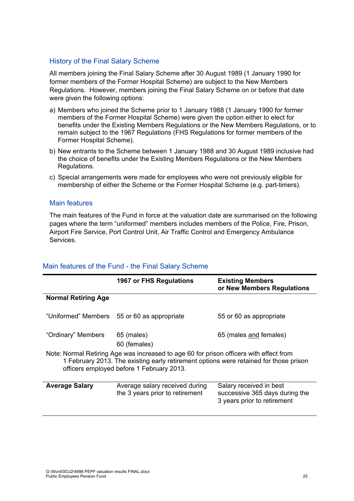# History of the Final Salary Scheme

All members joining the Final Salary Scheme after 30 August 1989 (1 January 1990 for former members of the Former Hospital Scheme) are subject to the New Members Regulations. However, members joining the Final Salary Scheme on or before that date were given the following options:

- a) Members who joined the Scheme prior to 1 January 1988 (1 January 1990 for former members of the Former Hospital Scheme) were given the option either to elect for benefits under the Existing Members Regulations or the New Members Regulations, or to remain subject to the 1967 Regulations (FHS Regulations for former members of the Former Hospital Scheme).
- b) New entrants to the Scheme between 1 January 1988 and 30 August 1989 inclusive had the choice of benefits under the Existing Members Regulations or the New Members Regulations.
- c) Special arrangements were made for employees who were not previously eligible for membership of either the Scheme or the Former Hospital Scheme (e.g. part-timers).

#### Main features

The main features of the Fund in force at the valuation date are summarised on the following pages where the term "uniformed" members includes members of the Police, Fire, Prison, Airport Fire Service, Port Control Unit, Air Traffic Control and Emergency Ambulance Services.

|                                                                                                                                                                                                                              | 1967 or FHS Regulations                     | <b>Existing Members</b><br>or New Members Regulations |
|------------------------------------------------------------------------------------------------------------------------------------------------------------------------------------------------------------------------------|---------------------------------------------|-------------------------------------------------------|
| <b>Normal Retiring Age</b>                                                                                                                                                                                                   |                                             |                                                       |
|                                                                                                                                                                                                                              |                                             |                                                       |
|                                                                                                                                                                                                                              | "Uniformed" Members 55 or 60 as appropriate | 55 or 60 as appropriate                               |
|                                                                                                                                                                                                                              |                                             |                                                       |
|                                                                                                                                                                                                                              |                                             |                                                       |
| "Ordinary" Members                                                                                                                                                                                                           | 65 (males)                                  | 65 (males and females)                                |
|                                                                                                                                                                                                                              | 60 (females)                                |                                                       |
| Note: Normal Retiring Age was increased to age 60 for prison officers with effect from<br>1 February 2013. The existing early retirement options were retained for those prison<br>officers employed before 1 February 2013. |                                             |                                                       |
| <b>Average Salary</b>                                                                                                                                                                                                        | Average salary received during              | Salary received in best                               |
|                                                                                                                                                                                                                              | the 3 years prior to retirement             | successive 365 days during the                        |
|                                                                                                                                                                                                                              |                                             | 3 years prior to retirement                           |
|                                                                                                                                                                                                                              |                                             |                                                       |

# Main features of the Fund - the Final Salary Scheme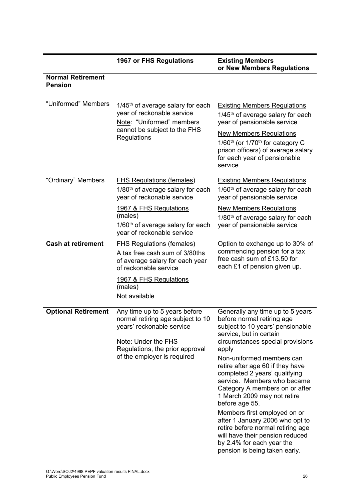|                                            | <b>1967 or FHS Regulations</b>                                                                                                                                                           | <b>Existing Members</b><br>or New Members Regulations                                                                                                                                                                                                                                                                                                                                                                                                                                                                                                                                                   |
|--------------------------------------------|------------------------------------------------------------------------------------------------------------------------------------------------------------------------------------------|---------------------------------------------------------------------------------------------------------------------------------------------------------------------------------------------------------------------------------------------------------------------------------------------------------------------------------------------------------------------------------------------------------------------------------------------------------------------------------------------------------------------------------------------------------------------------------------------------------|
| <b>Normal Retirement</b><br><b>Pension</b> |                                                                                                                                                                                          |                                                                                                                                                                                                                                                                                                                                                                                                                                                                                                                                                                                                         |
| "Uniformed" Members                        | $1/45$ <sup>th</sup> of average salary for each<br>year of reckonable service<br>Note: "Uniformed" members<br>cannot be subject to the FHS<br>Regulations                                | <b>Existing Members Regulations</b><br>1/45 <sup>th</sup> of average salary for each<br>year of pensionable service<br><b>New Members Regulations</b><br>1/60 <sup>th</sup> (or 1/70 <sup>th</sup> for category C<br>prison officers) of average salary<br>for each year of pensionable<br>service                                                                                                                                                                                                                                                                                                      |
| "Ordinary" Members                         | <b>FHS Regulations (females)</b><br>1/80 <sup>th</sup> of average salary for each<br>year of reckonable service                                                                          | <b>Existing Members Regulations</b><br>1/60 <sup>th</sup> of average salary for each<br>year of pensionable service                                                                                                                                                                                                                                                                                                                                                                                                                                                                                     |
|                                            | <u>1967 &amp; FHS Regulations</u><br>(males)<br>1/60 <sup>th</sup> of average salary for each<br>year of reckonable service                                                              | <b>New Members Regulations</b><br>1/80 <sup>th</sup> of average salary for each<br>year of pensionable service                                                                                                                                                                                                                                                                                                                                                                                                                                                                                          |
| <b>Cash at retirement</b>                  | <b>FHS Regulations (females)</b><br>A tax free cash sum of 3/80ths<br>of average salary for each year<br>of reckonable service                                                           | Option to exchange up to 30% of<br>commencing pension for a tax<br>free cash sum of £13.50 for<br>each £1 of pension given up.                                                                                                                                                                                                                                                                                                                                                                                                                                                                          |
|                                            | 1967 & FHS Regulations<br>(males)<br>Not available                                                                                                                                       |                                                                                                                                                                                                                                                                                                                                                                                                                                                                                                                                                                                                         |
| <b>Optional Retirement</b>                 | Any time up to 5 years before<br>normal retiring age subject to 10<br>years' reckonable service<br>Note: Under the FHS<br>Regulations, the prior approval<br>of the employer is required | Generally any time up to 5 years<br>before normal retiring age<br>subject to 10 years' pensionable<br>service, but in certain<br>circumstances special provisions<br>apply<br>Non-uniformed members can<br>retire after age 60 if they have<br>completed 2 years' qualifying<br>service. Members who became<br>Category A members on or after<br>1 March 2009 may not retire<br>before age 55.<br>Members first employed on or<br>after 1 January 2006 who opt to<br>retire before normal retiring age<br>will have their pension reduced<br>by 2.4% for each year the<br>pension is being taken early. |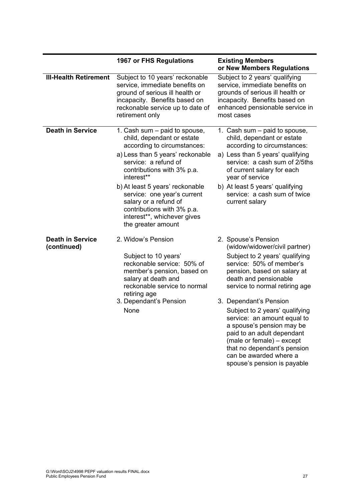|                                        | 1967 or FHS Regulations                                                                                                                                                                                                                                                                                                                                                          | <b>Existing Members</b><br>or New Members Regulations                                                                                                                                                                                                                                                                                                                                                                                                    |
|----------------------------------------|----------------------------------------------------------------------------------------------------------------------------------------------------------------------------------------------------------------------------------------------------------------------------------------------------------------------------------------------------------------------------------|----------------------------------------------------------------------------------------------------------------------------------------------------------------------------------------------------------------------------------------------------------------------------------------------------------------------------------------------------------------------------------------------------------------------------------------------------------|
| <b>III-Health Retirement</b>           | Subject to 10 years' reckonable<br>service, immediate benefits on<br>ground of serious ill health or<br>incapacity. Benefits based on<br>reckonable service up to date of<br>retirement only                                                                                                                                                                                     | Subject to 2 years' qualifying<br>service, immediate benefits on<br>grounds of serious ill health or<br>incapacity. Benefits based on<br>enhanced pensionable service in<br>most cases                                                                                                                                                                                                                                                                   |
| <b>Death in Service</b>                | 1. Cash sum - paid to spouse,<br>child, dependant or estate<br>according to circumstances:<br>a) Less than 5 years' reckonable<br>service: a refund of<br>contributions with 3% p.a.<br>interest**<br>b) At least 5 years' reckonable<br>service: one year's current<br>salary or a refund of<br>contributions with 3% p.a.<br>interest**, whichever gives<br>the greater amount | 1. Cash sum - paid to spouse,<br>child, dependant or estate<br>according to circumstances:<br>a) Less than 5 years' qualifying<br>service: a cash sum of 2/5ths<br>of current salary for each<br>year of service<br>b) At least 5 years' qualifying<br>service: a cash sum of twice<br>current salary                                                                                                                                                    |
| <b>Death in Service</b><br>(continued) | 2. Widow's Pension<br>Subject to 10 years'<br>reckonable service: 50% of<br>member's pension, based on<br>salary at death and<br>reckonable service to normal<br>retiring age<br>3. Dependant's Pension<br>None                                                                                                                                                                  | 2. Spouse's Pension<br>(widow/widower/civil partner)<br>Subject to 2 years' qualifying<br>service: 50% of member's<br>pension, based on salary at<br>death and pensionable<br>service to normal retiring age<br>3. Dependant's Pension<br>Subject to 2 years' qualifying<br>service: an amount equal to<br>a spouse's pension may be<br>paid to an adult dependant<br>(male or female) - except<br>that no dependant's pension<br>can be awarded where a |

spouse's pension is payable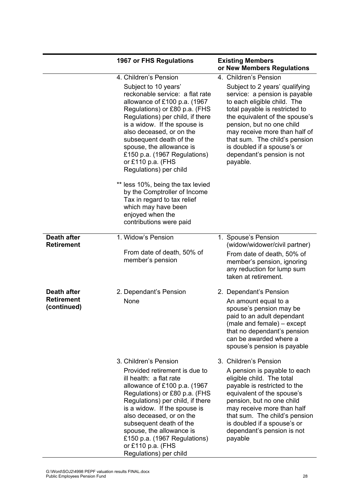|                                                 | <b>1967 or FHS Regulations</b>                                                                                                                                                                                                                                                                                                                                                           | <b>Existing Members</b><br>or New Members Regulations                                                                                                                                                                                                                                                                                                               |
|-------------------------------------------------|------------------------------------------------------------------------------------------------------------------------------------------------------------------------------------------------------------------------------------------------------------------------------------------------------------------------------------------------------------------------------------------|---------------------------------------------------------------------------------------------------------------------------------------------------------------------------------------------------------------------------------------------------------------------------------------------------------------------------------------------------------------------|
|                                                 | 4. Children's Pension<br>Subject to 10 years'<br>reckonable service: a flat rate<br>allowance of £100 p.a. (1967<br>Regulations) or £80 p.a. (FHS<br>Regulations) per child, if there<br>is a widow. If the spouse is<br>also deceased, or on the<br>subsequent death of the<br>spouse, the allowance is<br>£150 p.a. (1967 Regulations)<br>or £110 p.a. (FHS<br>Regulations) per child  | 4. Children's Pension<br>Subject to 2 years' qualifying<br>service: a pension is payable<br>to each eligible child. The<br>total payable is restricted to<br>the equivalent of the spouse's<br>pension, but no one child<br>may receive more than half of<br>that sum. The child's pension<br>is doubled if a spouse's or<br>dependant's pension is not<br>payable. |
|                                                 | ** less 10%, being the tax levied<br>by the Comptroller of Income<br>Tax in regard to tax relief<br>which may have been<br>enjoyed when the<br>contributions were paid                                                                                                                                                                                                                   |                                                                                                                                                                                                                                                                                                                                                                     |
| <b>Death after</b><br><b>Retirement</b>         | 1. Widow's Pension<br>From date of death, 50% of<br>member's pension                                                                                                                                                                                                                                                                                                                     | 1. Spouse's Pension<br>(widow/widower/civil partner)<br>From date of death, 50% of<br>member's pension, ignoring<br>any reduction for lump sum<br>taken at retirement.                                                                                                                                                                                              |
| Death after<br><b>Retirement</b><br>(continued) | 2. Dependant's Pension<br>None                                                                                                                                                                                                                                                                                                                                                           | 2. Dependant's Pension<br>An amount equal to a<br>spouse's pension may be<br>paid to an adult dependant<br>(male and female) – except<br>that no dependant's pension<br>can be awarded where a<br>spouse's pension is payable                                                                                                                                       |
|                                                 | 3. Children's Pension<br>Provided retirement is due to<br>ill health: a flat rate<br>allowance of £100 p.a. (1967<br>Regulations) or £80 p.a. (FHS<br>Regulations) per child, if there<br>is a widow. If the spouse is<br>also deceased, or on the<br>subsequent death of the<br>spouse, the allowance is<br>£150 p.a. (1967 Regulations)<br>or £110 p.a. (FHS<br>Regulations) per child | 3. Children's Pension<br>A pension is payable to each<br>eligible child. The total<br>payable is restricted to the<br>equivalent of the spouse's<br>pension, but no one child<br>may receive more than half<br>that sum. The child's pension<br>is doubled if a spouse's or<br>dependant's pension is not<br>payable                                                |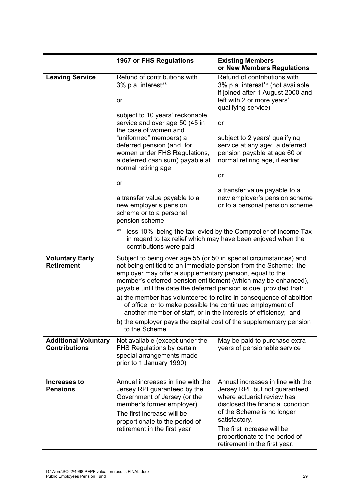|                                                     | 1967 or FHS Regulations                                                                                                                                                                                                                                                                                                                  | <b>Existing Members</b><br>or New Members Regulations                                                                                                                                                                                                                                  |
|-----------------------------------------------------|------------------------------------------------------------------------------------------------------------------------------------------------------------------------------------------------------------------------------------------------------------------------------------------------------------------------------------------|----------------------------------------------------------------------------------------------------------------------------------------------------------------------------------------------------------------------------------------------------------------------------------------|
| <b>Leaving Service</b>                              | Refund of contributions with<br>3% p.a. interest**                                                                                                                                                                                                                                                                                       | Refund of contributions with<br>3% p.a. interest** (not available<br>if joined after 1 August 2000 and                                                                                                                                                                                 |
|                                                     | or                                                                                                                                                                                                                                                                                                                                       | left with 2 or more years'<br>qualifying service)                                                                                                                                                                                                                                      |
|                                                     | subject to 10 years' reckonable<br>service and over age 50 (45 in                                                                                                                                                                                                                                                                        | or                                                                                                                                                                                                                                                                                     |
|                                                     | the case of women and<br>"uniformed" members) a<br>deferred pension (and, for<br>women under FHS Regulations,<br>a deferred cash sum) payable at<br>normal retiring age                                                                                                                                                                  | subject to 2 years' qualifying<br>service at any age: a deferred<br>pension payable at age 60 or<br>normal retiring age, if earlier                                                                                                                                                    |
|                                                     | or                                                                                                                                                                                                                                                                                                                                       | or                                                                                                                                                                                                                                                                                     |
|                                                     | a transfer value payable to a<br>new employer's pension<br>scheme or to a personal<br>pension scheme                                                                                                                                                                                                                                     | a transfer value payable to a<br>new employer's pension scheme<br>or to a personal pension scheme                                                                                                                                                                                      |
|                                                     | $^{\star\star}$<br>contributions were paid                                                                                                                                                                                                                                                                                               | less 10%, being the tax levied by the Comptroller of Income Tax<br>in regard to tax relief which may have been enjoyed when the                                                                                                                                                        |
| <b>Voluntary Early</b><br><b>Retirement</b>         | Subject to being over age 55 (or 50 in special circumstances) and<br>not being entitled to an immediate pension from the Scheme: the<br>employer may offer a supplementary pension, equal to the<br>member's deferred pension entitlement (which may be enhanced),<br>payable until the date the deferred pension is due, provided that: |                                                                                                                                                                                                                                                                                        |
|                                                     | of office, or to make possible the continued employment of<br>another member of staff, or in the interests of efficiency; and                                                                                                                                                                                                            | a) the member has volunteered to retire in consequence of abolition                                                                                                                                                                                                                    |
|                                                     | b) the employer pays the capital cost of the supplementary pension<br>to the Scheme                                                                                                                                                                                                                                                      |                                                                                                                                                                                                                                                                                        |
| <b>Additional Voluntary</b><br><b>Contributions</b> | Not available (except under the<br>FHS Regulations by certain<br>special arrangements made<br>prior to 1 January 1990)                                                                                                                                                                                                                   | May be paid to purchase extra<br>years of pensionable service                                                                                                                                                                                                                          |
| Increases to<br><b>Pensions</b>                     | Annual increases in line with the<br>Jersey RPI guaranteed by the<br>Government of Jersey (or the<br>member's former employer).<br>The first increase will be<br>proportionate to the period of<br>retirement in the first year                                                                                                          | Annual increases in line with the<br>Jersey RPI, but not guaranteed<br>where actuarial review has<br>disclosed the financial condition<br>of the Scheme is no longer<br>satisfactory.<br>The first increase will be<br>proportionate to the period of<br>retirement in the first year. |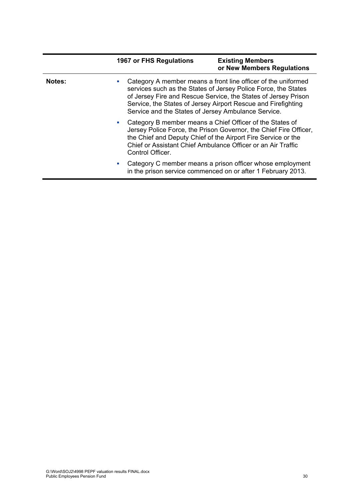|               | 1967 or FHS Regulations               | <b>Existing Members</b><br>or New Members Regulations                                                                                                                                                                                                                                                                     |
|---------------|---------------------------------------|---------------------------------------------------------------------------------------------------------------------------------------------------------------------------------------------------------------------------------------------------------------------------------------------------------------------------|
| <b>Notes:</b> | a.                                    | Category A member means a front line officer of the uniformed<br>services such as the States of Jersey Police Force, the States<br>of Jersey Fire and Rescue Service, the States of Jersey Prison<br>Service, the States of Jersey Airport Rescue and Firefighting<br>Service and the States of Jersey Ambulance Service. |
|               | <b>CONTRACTOR</b><br>Control Officer. | Category B member means a Chief Officer of the States of<br>Jersey Police Force, the Prison Governor, the Chief Fire Officer,<br>the Chief and Deputy Chief of the Airport Fire Service or the<br>Chief or Assistant Chief Ambulance Officer or an Air Traffic                                                            |
|               |                                       | Category C member means a prison officer whose employment<br>in the prison service commenced on or after 1 February 2013.                                                                                                                                                                                                 |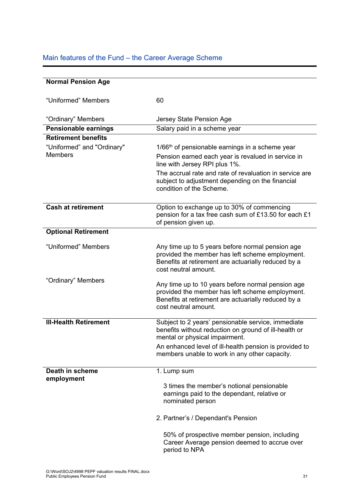# Main features of the Fund – the Career Average Scheme

| <b>Normal Pension Age</b>     |                                                                                                                                                                                     |
|-------------------------------|-------------------------------------------------------------------------------------------------------------------------------------------------------------------------------------|
| "Uniformed" Members           | 60                                                                                                                                                                                  |
| "Ordinary" Members            | Jersey State Pension Age                                                                                                                                                            |
| Pensionable earnings          | Salary paid in a scheme year                                                                                                                                                        |
| <b>Retirement benefits</b>    |                                                                                                                                                                                     |
| "Uniformed" and "Ordinary"    | $1/66th$ of pensionable earnings in a scheme year                                                                                                                                   |
| <b>Members</b>                | Pension earned each year is revalued in service in<br>line with Jersey RPI plus 1%.                                                                                                 |
|                               | The accrual rate and rate of revaluation in service are<br>subject to adjustment depending on the financial<br>condition of the Scheme.                                             |
| <b>Cash at retirement</b>     | Option to exchange up to 30% of commencing<br>pension for a tax free cash sum of £13.50 for each £1<br>of pension given up.                                                         |
| <b>Optional Retirement</b>    |                                                                                                                                                                                     |
| "Uniformed" Members           | Any time up to 5 years before normal pension age<br>provided the member has left scheme employment.<br>Benefits at retirement are actuarially reduced by a<br>cost neutral amount.  |
| "Ordinary" Members            | Any time up to 10 years before normal pension age<br>provided the member has left scheme employment.<br>Benefits at retirement are actuarially reduced by a<br>cost neutral amount. |
| <b>III-Health Retirement</b>  | Subject to 2 years' pensionable service, immediate<br>benefits without reduction on ground of ill-health or<br>mental or physical impairment.                                       |
|                               | An enhanced level of ill-health pension is provided to<br>members unable to work in any other capacity.                                                                             |
| Death in scheme<br>employment | 1. Lump sum                                                                                                                                                                         |
|                               | 3 times the member's notional pensionable<br>earnings paid to the dependant, relative or<br>nominated person                                                                        |
|                               | 2. Partner's / Dependant's Pension                                                                                                                                                  |
|                               | 50% of prospective member pension, including<br>Career Average pension deemed to accrue over<br>period to NPA                                                                       |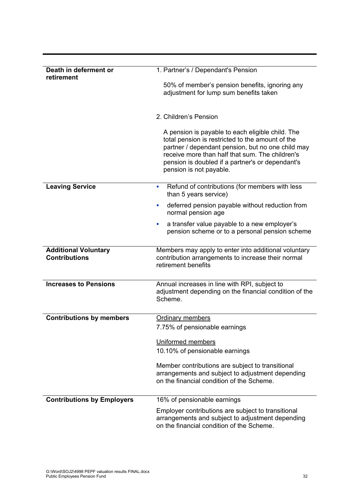| Death in deferment or<br>retirement                 | 1. Partner's / Dependant's Pension                                                                                                                                                                                                                                                          |
|-----------------------------------------------------|---------------------------------------------------------------------------------------------------------------------------------------------------------------------------------------------------------------------------------------------------------------------------------------------|
|                                                     | 50% of member's pension benefits, ignoring any<br>adjustment for lump sum benefits taken                                                                                                                                                                                                    |
|                                                     | 2. Children's Pension                                                                                                                                                                                                                                                                       |
|                                                     | A pension is payable to each eligible child. The<br>total pension is restricted to the amount of the<br>partner / dependant pension, but no one child may<br>receive more than half that sum. The children's<br>pension is doubled if a partner's or dependant's<br>pension is not payable. |
| <b>Leaving Service</b>                              | Refund of contributions (for members with less<br>ш<br>than 5 years service)                                                                                                                                                                                                                |
|                                                     | deferred pension payable without reduction from<br>ш<br>normal pension age                                                                                                                                                                                                                  |
|                                                     | a transfer value payable to a new employer's<br>L,<br>pension scheme or to a personal pension scheme                                                                                                                                                                                        |
| <b>Additional Voluntary</b><br><b>Contributions</b> | Members may apply to enter into additional voluntary<br>contribution arrangements to increase their normal<br>retirement benefits                                                                                                                                                           |
| <b>Increases to Pensions</b>                        | Annual increases in line with RPI, subject to<br>adjustment depending on the financial condition of the<br>Scheme.                                                                                                                                                                          |
| <b>Contributions by members</b>                     | Ordinary members                                                                                                                                                                                                                                                                            |
|                                                     | 7.75% of pensionable earnings                                                                                                                                                                                                                                                               |
|                                                     | Uniformed members                                                                                                                                                                                                                                                                           |
|                                                     | 10.10% of pensionable earnings                                                                                                                                                                                                                                                              |
|                                                     | Member contributions are subject to transitional<br>arrangements and subject to adjustment depending<br>on the financial condition of the Scheme.                                                                                                                                           |
| <b>Contributions by Employers</b>                   | 16% of pensionable earnings                                                                                                                                                                                                                                                                 |
|                                                     | Employer contributions are subject to transitional<br>arrangements and subject to adjustment depending<br>on the financial condition of the Scheme.                                                                                                                                         |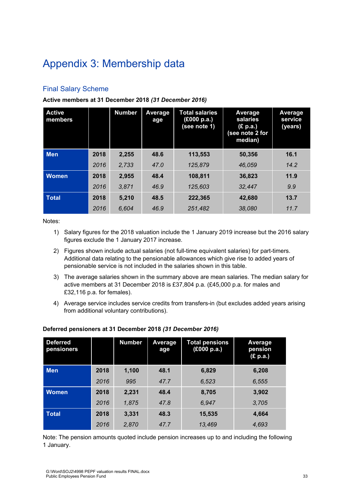# Appendix 3: Membership data

# Final Salary Scheme

#### **Active members at 31 December 2018** *(31 December 2016)*

| <b>Active</b><br>members |      | <b>Number</b> | Average<br>age | <b>Total salaries</b><br>(£000 p.a.)<br>(see note 1) | Average<br>salaries<br>(£ p.a.)<br>(see note 2 for<br>median) | Average<br>service<br>(years) |
|--------------------------|------|---------------|----------------|------------------------------------------------------|---------------------------------------------------------------|-------------------------------|
| <b>Men</b>               | 2018 | 2,255         | 48.6           | 113,553                                              | 50,356                                                        | 16.1                          |
|                          | 2016 | 2,733         | 47.0           | 125,879                                              | 46.059                                                        | 14.2                          |
| <b>Women</b>             | 2018 | 2,955         | 48.4           | 108,811                                              | 36,823                                                        | 11.9                          |
|                          | 2016 | 3.871         | 46.9           | 125,603                                              | 32.447                                                        | 9.9                           |
| Total                    | 2018 | 5,210         | 48.5           | 222,365                                              | 42.680                                                        | 13.7                          |
|                          | 2016 | 6.604         | 46.9           | 251,482                                              | 38,080                                                        | 11.7                          |

Notes:

- 1) Salary figures for the 2018 valuation include the 1 January 2019 increase but the 2016 salary figures exclude the 1 January 2017 increase.
- 2) Figures shown include actual salaries (not full-time equivalent salaries) for part-timers. Additional data relating to the pensionable allowances which give rise to added years of pensionable service is not included in the salaries shown in this table.
- 3) The average salaries shown in the summary above are mean salaries. The median salary for active members at 31 December 2018 is £37,804 p.a. (£45,000 p.a. for males and £32,116 p.a. for females).
- 4) Average service includes service credits from transfers-in (but excludes added years arising from additional voluntary contributions).

| <b>Deferred</b><br>pensioners |      | <b>Number</b> | <b>Average</b><br>age | <b>Total pensions</b><br>(£000 p.a.) | Average<br>pension<br>(E p.a.) |
|-------------------------------|------|---------------|-----------------------|--------------------------------------|--------------------------------|
| <b>Men</b>                    | 2018 | 1,100         | 48.1                  | 6,829                                | 6,208                          |
|                               | 2016 | 995           | 47.7                  | 6.523                                | 6,555                          |
| <b>Women</b>                  | 2018 | 2,231         | 48.4                  | 8,705                                | 3,902                          |
|                               | 2016 | 1.875         | 47.8                  | 6.947                                | 3.705                          |
| <b>Total</b>                  | 2018 | 3,331         | 48.3                  | 15,535                               | 4,664                          |
|                               | 2016 | 2,870         | 47.7                  | 13,469                               | 4,693                          |

#### **Deferred pensioners at 31 December 2018** *(31 December 2016)*

Note: The pension amounts quoted include pension increases up to and including the following 1 January.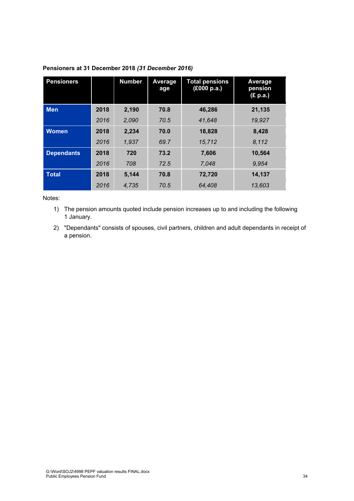| <b>Pensioners</b> |      | <b>Number</b> | Average<br>age | <b>Total pensions</b><br>(£000 p.a.) | Average<br>pension<br>(£ p.a.) |
|-------------------|------|---------------|----------------|--------------------------------------|--------------------------------|
| <b>Men</b>        | 2018 | 2,190         | 70.8           | 46,286                               | 21,135                         |
|                   | 2016 | 2,090         | 70.5           | 41,648                               | 19,927                         |
| <b>Women</b>      | 2018 | 2,234         | 70.0           | 18,828                               | 8,428                          |
|                   | 2016 | 1.937         | 69.7           | 15,712                               | 8,112                          |
| <b>Dependants</b> | 2018 | 720           | 73.2           | 7.606                                | 10.564                         |
|                   | 2016 | 708           | 72.5           | 7.048                                | 9.954                          |
| <b>Total</b>      | 2018 | 5.144         | 70.8           | 72,720                               | 14,137                         |
|                   | 2016 | 4,735         | 70.5           | 64,408                               | 13,603                         |

#### **Pensioners at 31 December 2018** *(31 December 2016)*

#### Notes:

1) The pension amounts quoted include pension increases up to and including the following 1 January.

2) "Dependants" consists of spouses, civil partners, children and adult dependants in receipt of a pension.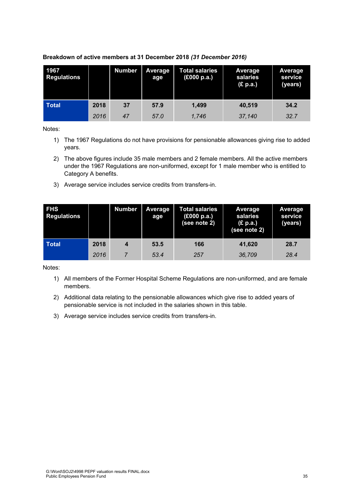| 1967<br><b>Regulations</b> |      | <b>Number</b> | <b>Average</b><br>age | <b>Total salaries</b><br>(£000 p.a.) | Average<br>salaries<br>(£ p.a.) | <b>Average</b><br>service<br>(years) |
|----------------------------|------|---------------|-----------------------|--------------------------------------|---------------------------------|--------------------------------------|
| <b>Total</b>               | 2018 | 37            | 57.9                  | 1.499                                | 40,519                          | 34.2                                 |
|                            | 2016 | 47            | 57.0                  | 1.746                                | 37,140                          | 32.7                                 |

#### **Breakdown of active members at 31 December 2018** *(31 December 2016)*

Notes:

- 1) The 1967 Regulations do not have provisions for pensionable allowances giving rise to added years.
- 2) The above figures include 35 male members and 2 female members. All the active members under the 1967 Regulations are non-uniformed, except for 1 male member who is entitled to Category A benefits.
- 3) Average service includes service credits from transfers-in.

| <b>FHS</b><br><b>Regulations</b> |      | <b>Number</b> | <b>Average</b><br>age | Total salaries<br>(£000 p.a.)<br>(see note 2) | <b>Average</b><br>salaries<br>(E p.a.)<br>(see note 2) | Average<br>service<br>(years) |
|----------------------------------|------|---------------|-----------------------|-----------------------------------------------|--------------------------------------------------------|-------------------------------|
| <b>Total</b>                     | 2018 | 4             | 53.5                  | 166                                           | 41,620                                                 | 28.7                          |
|                                  | 2016 |               | 53.4                  | 257                                           | 36,709                                                 | 28.4                          |

- 1) All members of the Former Hospital Scheme Regulations are non-uniformed, and are female members.
- 2) Additional data relating to the pensionable allowances which give rise to added years of pensionable service is not included in the salaries shown in this table.
- 3) Average service includes service credits from transfers-in.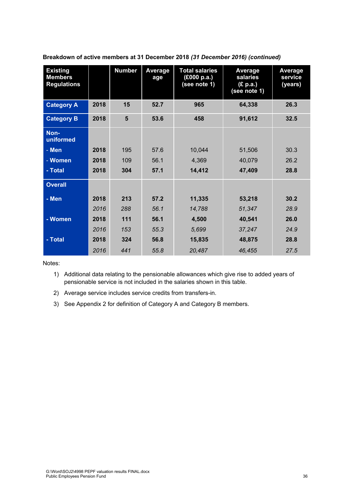| <b>Existing</b><br><b>Members</b><br><b>Regulations</b> |      | <b>Number</b> | Average<br>age | <b>Total salaries</b><br>(£000 p.a.)<br>(see note 1) | <b>Average</b><br>salaries<br>(£ p.a.)<br>(see note 1) | <b>Average</b><br>service<br>(years) |
|---------------------------------------------------------|------|---------------|----------------|------------------------------------------------------|--------------------------------------------------------|--------------------------------------|
| <b>Category A</b>                                       | 2018 | 15            | 52.7           | 965                                                  | 64,338                                                 | 26.3                                 |
| <b>Category B</b>                                       | 2018 | 5             | 53.6           | 458                                                  | 91,612                                                 | 32.5                                 |
| Non-<br>uniformed                                       |      |               |                |                                                      |                                                        |                                      |
| - Men                                                   | 2018 | 195           | 57.6           | 10,044                                               | 51,506                                                 | 30.3                                 |
| - Women                                                 | 2018 | 109           | 56.1           | 4,369                                                | 40,079                                                 | 26.2                                 |
| - Total                                                 | 2018 | 304           | 57.1           | 14,412                                               | 47,409                                                 | 28.8                                 |
| <b>Overall</b>                                          |      |               |                |                                                      |                                                        |                                      |
| - Men                                                   | 2018 | 213           | 57.2           | 11,335                                               | 53,218                                                 | 30.2                                 |
|                                                         | 2016 | 288           | 56.1           | 14,788                                               | 51,347                                                 | 28.9                                 |
| - Women                                                 | 2018 | 111           | 56.1           | 4,500                                                | 40,541                                                 | 26.0                                 |
|                                                         | 2016 | 153           | 55.3           | 5,699                                                | 37,247                                                 | 24.9                                 |
| - Total                                                 | 2018 | 324           | 56.8           | 15,835                                               | 48,875                                                 | 28.8                                 |
|                                                         | 2016 | 441           | 55.8           | 20,487                                               | 46.455                                                 | 27.5                                 |

**Breakdown of active members at 31 December 2018** *(31 December 2016) (continued)* 

Notes:

1) Additional data relating to the pensionable allowances which give rise to added years of pensionable service is not included in the salaries shown in this table.

2) Average service includes service credits from transfers-in.

3) See Appendix 2 for definition of Category A and Category B members.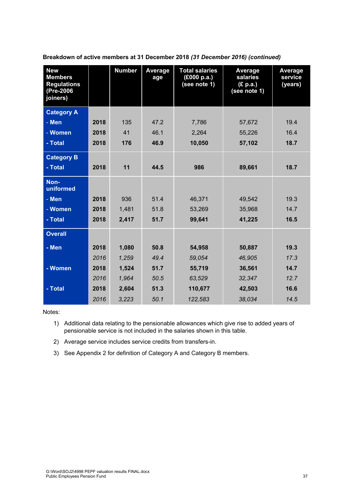| <b>New</b><br><b>Members</b><br><b>Regulations</b><br>(Pre-2006<br>joiners) |      | <b>Number</b> | Average<br>age | <b>Total salaries</b><br>(£000 p.a.)<br>(see note 1) | Average<br>salaries<br>(E p.a.)<br>(see note 1) | Average<br>service<br>(years) |
|-----------------------------------------------------------------------------|------|---------------|----------------|------------------------------------------------------|-------------------------------------------------|-------------------------------|
| <b>Category A</b>                                                           |      |               |                |                                                      |                                                 |                               |
| - Men                                                                       | 2018 | 135           | 47.2           | 7,786                                                | 57,672                                          | 19.4                          |
| - Women                                                                     | 2018 | 41            | 46.1           | 2,264                                                | 55,226                                          | 16.4                          |
| - Total                                                                     | 2018 | 176           | 46.9           | 10,050                                               | 57,102                                          | 18.7                          |
| <b>Category B</b>                                                           |      |               |                |                                                      |                                                 |                               |
| - Total                                                                     | 2018 | 11            | 44.5           | 986                                                  | 89,661                                          | 18.7                          |
| Non-<br>uniformed                                                           |      |               |                |                                                      |                                                 |                               |
| - Men                                                                       | 2018 | 936           | 51.4           | 46,371                                               | 49,542                                          | 19.3                          |
| - Women                                                                     | 2018 | 1,481         | 51.8           | 53,269                                               | 35,968                                          | 14.7                          |
| - Total                                                                     | 2018 | 2,417         | 51.7           | 99,641                                               | 41,225                                          | 16.5                          |
| <b>Overall</b>                                                              |      |               |                |                                                      |                                                 |                               |
| - Men                                                                       | 2018 | 1,080         | 50.8           | 54,958                                               | 50,887                                          | 19.3                          |
|                                                                             | 2016 | 1,259         | 49.4           | 59.054                                               | 46.905                                          | 17.3                          |
| - Women                                                                     | 2018 | 1,524         | 51.7           | 55,719                                               | 36,561                                          | 14.7                          |
|                                                                             | 2016 | 1,964         | 50.5           | 63,529                                               | 32,347                                          | 12.7                          |
| - Total                                                                     | 2018 | 2,604         | 51.3           | 110,677                                              | 42,503                                          | 16.6                          |
|                                                                             | 2016 | 3,223         | 50.1           | 122,583                                              | 38,034                                          | 14.5                          |

**Breakdown of active members at 31 December 2018** *(31 December 2016) (continued)* 

- 1) Additional data relating to the pensionable allowances which give rise to added years of pensionable service is not included in the salaries shown in this table.
- 2) Average service includes service credits from transfers-in.
- 3) See Appendix 2 for definition of Category A and Category B members.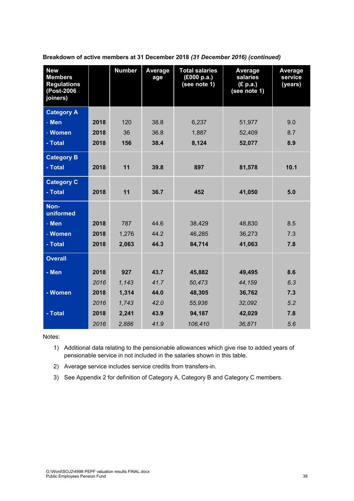| <b>New</b><br><b>Members</b><br><b>Regulations</b><br>(Post-2006<br>joiners) |      | <b>Number</b> | Average<br>age | <b>Total salaries</b><br>(£000 p.a.)<br>(see note 1) | Average<br>salaries<br>(E p.a.)<br>(see note 1) | Average<br>service<br>(years) |
|------------------------------------------------------------------------------|------|---------------|----------------|------------------------------------------------------|-------------------------------------------------|-------------------------------|
| <b>Category A</b>                                                            |      |               |                |                                                      |                                                 |                               |
| - Men                                                                        | 2018 | 120           | 38.8           | 6,237                                                | 51,977                                          | 9.0                           |
| - Women                                                                      | 2018 | 36            | 36.8           | 1,887                                                | 52,409                                          | 8.7                           |
| - Total                                                                      | 2018 | 156           | 38.4           | 8,124                                                | 52,077                                          | 8.9                           |
| <b>Category B</b>                                                            |      |               |                |                                                      |                                                 |                               |
| - Total                                                                      | 2018 | 11            | 39.8           | 897                                                  | 81,578                                          | 10.1                          |
| <b>Category C</b>                                                            |      |               |                |                                                      |                                                 |                               |
| - Total                                                                      | 2018 | 11            | 36.7           | 452                                                  | 41,050                                          | 5.0                           |
| Non-<br>uniformed                                                            |      |               |                |                                                      |                                                 |                               |
| - Men                                                                        | 2018 | 787           | 44.6           | 38,429                                               | 48,830                                          | 8.5                           |
| - Women                                                                      | 2018 | 1,276         | 44.2           | 46,285                                               | 36,273                                          | 7.3                           |
| - Total                                                                      | 2018 | 2,063         | 44.3           | 84,714                                               | 41,063                                          | 7.8                           |
| <b>Overall</b>                                                               |      |               |                |                                                      |                                                 |                               |
| - Men                                                                        | 2018 | 927           | 43.7           | 45,882                                               | 49,495                                          | 8.6                           |
|                                                                              | 2016 | 1,143         | 41.7           | 50,473                                               | 44,159                                          | 6.3                           |
| - Women                                                                      | 2018 | 1,314         | 44.0           | 48,305                                               | 36,762                                          | 7.3                           |
|                                                                              | 2016 | 1,743         | 42.0           | 55,936                                               | 32,092                                          | 5.2                           |
| - Total                                                                      | 2018 | 2,241         | 43.9           | 94,187                                               | 42,029                                          | 7.8                           |
|                                                                              | 2016 | 2,886         | 41.9           | 106,410                                              | 36,871                                          | 5.6                           |

**Breakdown of active members at 31 December 2018** *(31 December 2016) (continued)* 

- 1) Additional data relating to the pensionable allowances which give rise to added years of pensionable service in not included in the salaries shown in this table.
- 2) Average service includes service credits from transfers-in.
- 3) See Appendix 2 for definition of Category A, Category B and Category C members.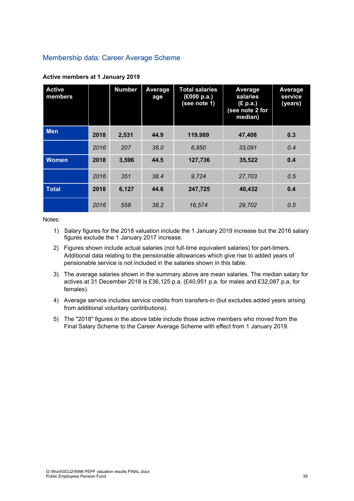# Membership data: Career Average Scheme

| <b>Active</b><br>members |      | <b>Number</b> | Average<br>age | <b>Total salaries</b><br>(£000 p.a.)<br>(see note 1) | Average<br>salaries<br>(E p.a.)<br>(see note 2 for<br>median) | Average<br>service<br>(years) |
|--------------------------|------|---------------|----------------|------------------------------------------------------|---------------------------------------------------------------|-------------------------------|
| <b>Men</b>               | 2018 | 2,531         | 44.9           | 119,989                                              | 47,408                                                        | 0.3                           |
|                          | 2016 | 207           | 38.0           | 6,850                                                | 33,091                                                        | 0.4                           |
| <b>Women</b>             | 2018 | 3,596         | 44.5           | 127,736                                              | 35,522                                                        | 0.4                           |
|                          | 2016 | 351           | 38.4           | 9.724                                                | 27,703                                                        | 0.5                           |
| <b>Total</b>             | 2018 | 6,127         | 44.6           | 247,725                                              | 40,432                                                        | 0.4                           |
|                          | 2016 | 558           | 38.2           | 16,574                                               | 29,702                                                        | 0.5                           |

#### **Active members at 1 January 2019**

- 1) Salary figures for the 2018 valuation include the 1 January 2019 increase but the 2016 salary figures exclude the 1 January 2017 increase.
- 2) Figures shown include actual salaries (not full-time equivalent salaries) for part-timers. Additional data relating to the pensionable allowances which give rise to added years of pensionable service is not included in the salaries shown in this table.
- 3) The average salaries shown in the summary above are mean salaries. The median salary for actives at 31 December 2018 is £36,125 p.a. (£40,951 p.a. for males and £32,087 p.a. for females).
- 4) Average service includes service credits from transfers-in (but excludes added years arising from additional voluntary contributions).
- 5) The "2018" figures in the above table include those active members who moved from the Final Salary Scheme to the Career Average Scheme with effect from 1 January 2019.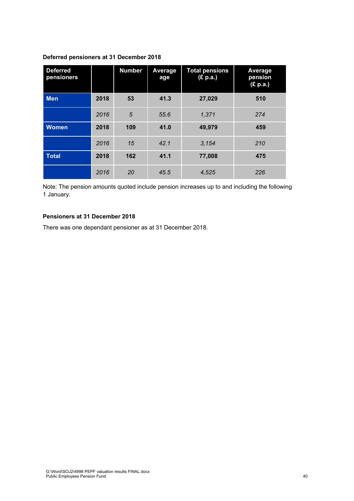#### **Deferred pensioners at 31 December 2018**

| <b>Deferred</b><br>pensioners |      | <b>Number</b> | Average<br>age | <b>Total pensions</b><br>(£ p.a.) | Average<br>pension<br>(E p.a.) |
|-------------------------------|------|---------------|----------------|-----------------------------------|--------------------------------|
| <b>Men</b>                    | 2018 | 53            | 41.3           | 27,029                            | 510                            |
|                               | 2016 | 5             | 55.6           | 1,371                             | 274                            |
| <b>Women</b>                  | 2018 | 109           | 41.0           | 49,979                            | 459                            |
|                               | 2016 | 15            | 42.1           | 3,154                             | 210                            |
| <b>Total</b>                  | 2018 | 162           | 41.1           | 77,008                            | 475                            |
|                               | 2016 | 20            | 45.5           | 4,525                             | 226                            |

Note: The pension amounts quoted include pension increases up to and including the following 1 January.

#### **Pensioners at 31 December 2018**

There was one dependant pensioner as at 31 December 2018.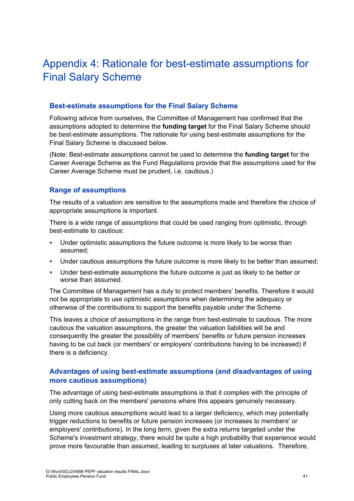# Appendix 4: Rationale for best-estimate assumptions for Final Salary Scheme

#### **Best-estimate assumptions for the Final Salary Scheme**

Following advice from ourselves, the Committee of Management has confirmed that the assumptions adopted to determine the **funding target** for the Final Salary Scheme should be best-estimate assumptions. The rationale for using best-estimate assumptions for the Final Salary Scheme is discussed below.

(Note: Best-estimate assumptions cannot be used to determine the **funding target** for the Career Average Scheme as the Fund Regulations provide that the assumptions used for the Career Average Scheme must be prudent, i.e. cautious.)

# **Range of assumptions**

The results of a valuation are sensitive to the assumptions made and therefore the choice of appropriate assumptions is important.

There is a wide range of assumptions that could be used ranging from optimistic, through best-estimate to cautious:

- **Under optimistic assumptions the future outcome is more likely to be worse than** assumed;
- Under cautious assumptions the future outcome is more likely to be better than assumed;
- Under best-estimate assumptions the future outcome is just as likely to be better or worse than assumed.

The Committee of Management has a duty to protect members' benefits. Therefore it would not be appropriate to use optimistic assumptions when determining the adequacy or otherwise of the contributions to support the benefits payable under the Scheme.

This leaves a choice of assumptions in the range from best-estimate to cautious. The more cautious the valuation assumptions, the greater the valuation liabilities will be and consequently the greater the possibility of members' benefits or future pension increases having to be cut back (or members' or employers' contributions having to be increased) if there is a deficiency.

# **Advantages of using best-estimate assumptions (and disadvantages of using more cautious assumptions)**

The advantage of using best-estimate assumptions is that it complies with the principle of only cutting back on the members' pensions where this appears genuinely necessary.

Using more cautious assumptions would lead to a larger deficiency, which may potentially trigger reductions to benefits or future pension increases (or increases to members' or employers' contributions). In the long term, given the extra returns targeted under the Scheme's investment strategy, there would be quite a high probability that experience would prove more favourable than assumed, leading to surpluses at later valuations. Therefore,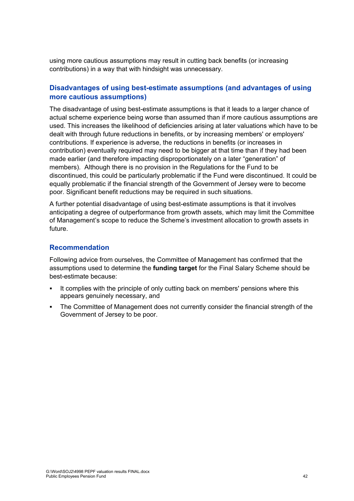using more cautious assumptions may result in cutting back benefits (or increasing contributions) in a way that with hindsight was unnecessary.

# **Disadvantages of using best-estimate assumptions (and advantages of using more cautious assumptions)**

The disadvantage of using best-estimate assumptions is that it leads to a larger chance of actual scheme experience being worse than assumed than if more cautious assumptions are used. This increases the likelihood of deficiencies arising at later valuations which have to be dealt with through future reductions in benefits, or by increasing members' or employers' contributions. If experience is adverse, the reductions in benefits (or increases in contribution) eventually required may need to be bigger at that time than if they had been made earlier (and therefore impacting disproportionately on a later "generation" of members). Although there is no provision in the Regulations for the Fund to be discontinued, this could be particularly problematic if the Fund were discontinued. It could be equally problematic if the financial strength of the Government of Jersey were to become poor. Significant benefit reductions may be required in such situations.

A further potential disadvantage of using best-estimate assumptions is that it involves anticipating a degree of outperformance from growth assets, which may limit the Committee of Management's scope to reduce the Scheme's investment allocation to growth assets in future.

# **Recommendation**

Following advice from ourselves, the Committee of Management has confirmed that the assumptions used to determine the **funding target** for the Final Salary Scheme should be best-estimate because:

- It complies with the principle of only cutting back on members' pensions where this appears genuinely necessary, and
- The Committee of Management does not currently consider the financial strength of the Government of Jersey to be poor.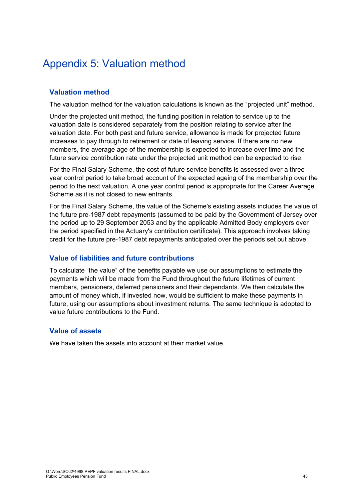# Appendix 5: Valuation method

# **Valuation method**

The valuation method for the valuation calculations is known as the "projected unit" method.

Under the projected unit method, the funding position in relation to service up to the valuation date is considered separately from the position relating to service after the valuation date. For both past and future service, allowance is made for projected future increases to pay through to retirement or date of leaving service. If there are no new members, the average age of the membership is expected to increase over time and the future service contribution rate under the projected unit method can be expected to rise.

For the Final Salary Scheme, the cost of future service benefits is assessed over a three year control period to take broad account of the expected ageing of the membership over the period to the next valuation. A one year control period is appropriate for the Career Average Scheme as it is not closed to new entrants.

For the Final Salary Scheme, the value of the Scheme's existing assets includes the value of the future pre-1987 debt repayments (assumed to be paid by the Government of Jersey over the period up to 29 September 2053 and by the applicable Admitted Body employers over the period specified in the Actuary's contribution certificate). This approach involves taking credit for the future pre-1987 debt repayments anticipated over the periods set out above.

# **Value of liabilities and future contributions**

To calculate "the value" of the benefits payable we use our assumptions to estimate the payments which will be made from the Fund throughout the future lifetimes of current members, pensioners, deferred pensioners and their dependants. We then calculate the amount of money which, if invested now, would be sufficient to make these payments in future, using our assumptions about investment returns. The same technique is adopted to value future contributions to the Fund.

# **Value of assets**

We have taken the assets into account at their market value.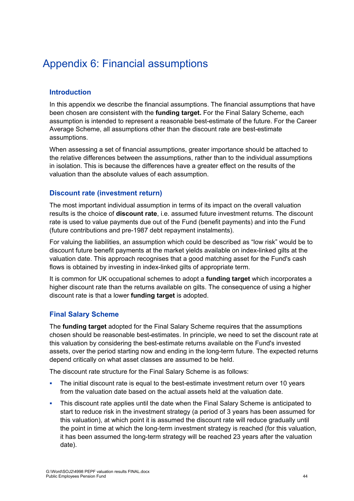# Appendix 6: Financial assumptions

# **Introduction**

In this appendix we describe the financial assumptions. The financial assumptions that have been chosen are consistent with the **funding target.** For the Final Salary Scheme, each assumption is intended to represent a reasonable best-estimate of the future. For the Career Average Scheme, all assumptions other than the discount rate are best-estimate assumptions.

When assessing a set of financial assumptions, greater importance should be attached to the relative differences between the assumptions, rather than to the individual assumptions in isolation. This is because the differences have a greater effect on the results of the valuation than the absolute values of each assumption.

#### **Discount rate (investment return)**

The most important individual assumption in terms of its impact on the overall valuation results is the choice of **discount rate**, i.e. assumed future investment returns. The discount rate is used to value payments due out of the Fund (benefit payments) and into the Fund (future contributions and pre-1987 debt repayment instalments).

For valuing the liabilities, an assumption which could be described as "low risk" would be to discount future benefit payments at the market yields available on index-linked gilts at the valuation date. This approach recognises that a good matching asset for the Fund's cash flows is obtained by investing in index-linked gilts of appropriate term.

It is common for UK occupational schemes to adopt a **funding target** which incorporates a higher discount rate than the returns available on gilts. The consequence of using a higher discount rate is that a lower **funding target** is adopted.

# **Final Salary Scheme**

The **funding target** adopted for the Final Salary Scheme requires that the assumptions chosen should be reasonable best-estimates. In principle, we need to set the discount rate at this valuation by considering the best-estimate returns available on the Fund's invested assets, over the period starting now and ending in the long-term future. The expected returns depend critically on what asset classes are assumed to be held.

The discount rate structure for the Final Salary Scheme is as follows:

- The initial discount rate is equal to the best-estimate investment return over 10 years from the valuation date based on the actual assets held at the valuation date.
- This discount rate applies until the date when the Final Salary Scheme is anticipated to start to reduce risk in the investment strategy (a period of 3 years has been assumed for this valuation), at which point it is assumed the discount rate will reduce gradually until the point in time at which the long-term investment strategy is reached (for this valuation, it has been assumed the long-term strategy will be reached 23 years after the valuation date).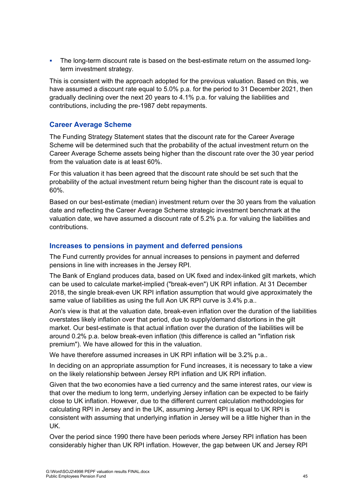• The long-term discount rate is based on the best-estimate return on the assumed longterm investment strategy.

This is consistent with the approach adopted for the previous valuation. Based on this, we have assumed a discount rate equal to 5.0% p.a. for the period to 31 December 2021, then gradually declining over the next 20 years to 4.1% p.a. for valuing the liabilities and contributions, including the pre-1987 debt repayments.

# **Career Average Scheme**

The Funding Strategy Statement states that the discount rate for the Career Average Scheme will be determined such that the probability of the actual investment return on the Career Average Scheme assets being higher than the discount rate over the 30 year period from the valuation date is at least 60%.

For this valuation it has been agreed that the discount rate should be set such that the probability of the actual investment return being higher than the discount rate is equal to 60%.

Based on our best-estimate (median) investment return over the 30 years from the valuation date and reflecting the Career Average Scheme strategic investment benchmark at the valuation date, we have assumed a discount rate of 5.2% p.a. for valuing the liabilities and contributions.

# **Increases to pensions in payment and deferred pensions**

The Fund currently provides for annual increases to pensions in payment and deferred pensions in line with increases in the Jersey RPI.

The Bank of England produces data, based on UK fixed and index-linked gilt markets, which can be used to calculate market-implied ("break-even") UK RPI inflation. At 31 December 2018, the single break-even UK RPI inflation assumption that would give approximately the same value of liabilities as using the full Aon UK RPI curve is 3.4% p.a..

Aon's view is that at the valuation date, break-even inflation over the duration of the liabilities overstates likely inflation over that period, due to supply/demand distortions in the gilt market. Our best-estimate is that actual inflation over the duration of the liabilities will be around 0.2% p.a. below break-even inflation (this difference is called an "inflation risk premium"). We have allowed for this in the valuation.

We have therefore assumed increases in UK RPI inflation will be 3.2% p.a..

In deciding on an appropriate assumption for Fund increases, it is necessary to take a view on the likely relationship between Jersey RPI inflation and UK RPI inflation.

Given that the two economies have a tied currency and the same interest rates, our view is that over the medium to long term, underlying Jersey inflation can be expected to be fairly close to UK inflation. However, due to the different current calculation methodologies for calculating RPI in Jersey and in the UK, assuming Jersey RPI is equal to UK RPI is consistent with assuming that underlying inflation in Jersey will be a little higher than in the UK.

Over the period since 1990 there have been periods where Jersey RPI inflation has been considerably higher than UK RPI inflation. However, the gap between UK and Jersey RPI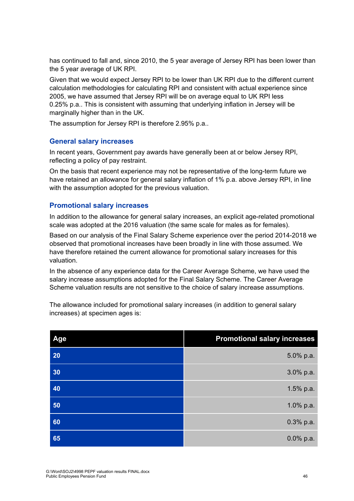has continued to fall and, since 2010, the 5 year average of Jersey RPI has been lower than the 5 year average of UK RPI.

Given that we would expect Jersey RPI to be lower than UK RPI due to the different current calculation methodologies for calculating RPI and consistent with actual experience since 2005, we have assumed that Jersey RPI will be on average equal to UK RPI less 0.25% p.a.. This is consistent with assuming that underlying inflation in Jersey will be marginally higher than in the UK.

The assumption for Jersey RPI is therefore 2.95% p.a..

#### **General salary increases**

In recent years, Government pay awards have generally been at or below Jersey RPI, reflecting a policy of pay restraint.

On the basis that recent experience may not be representative of the long-term future we have retained an allowance for general salary inflation of 1% p.a. above Jersey RPI, in line with the assumption adopted for the previous valuation.

# **Promotional salary increases**

In addition to the allowance for general salary increases, an explicit age-related promotional scale was adopted at the 2016 valuation (the same scale for males as for females).

Based on our analysis of the Final Salary Scheme experience over the period 2014-2018 we observed that promotional increases have been broadly in line with those assumed. We have therefore retained the current allowance for promotional salary increases for this valuation.

In the absence of any experience data for the Career Average Scheme, we have used the salary increase assumptions adopted for the Final Salary Scheme. The Career Average Scheme valuation results are not sensitive to the choice of salary increase assumptions.

The allowance included for promotional salary increases (in addition to general salary increases) at specimen ages is:

| Age | <b>Promotional salary increases</b> |
|-----|-------------------------------------|
| 20  | 5.0% p.a.                           |
| 30  | 3.0% p.a.                           |
| 40  | 1.5% p.a.                           |
| 50  | 1.0% p.a.                           |
| 60  | $0.3\%$ p.a.                        |
| 65  | $0.0\%$ p.a.                        |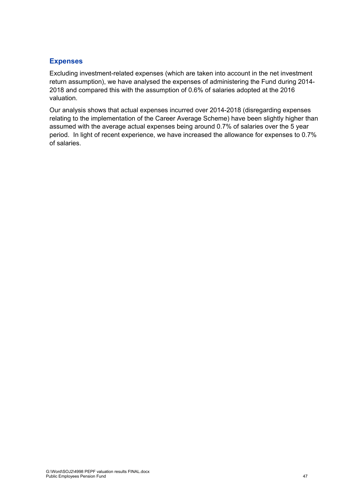# **Expenses**

Excluding investment-related expenses (which are taken into account in the net investment return assumption), we have analysed the expenses of administering the Fund during 2014- 2018 and compared this with the assumption of 0.6% of salaries adopted at the 2016 valuation.

Our analysis shows that actual expenses incurred over 2014-2018 (disregarding expenses relating to the implementation of the Career Average Scheme) have been slightly higher than assumed with the average actual expenses being around 0.7% of salaries over the 5 year period. In light of recent experience, we have increased the allowance for expenses to 0.7% of salaries.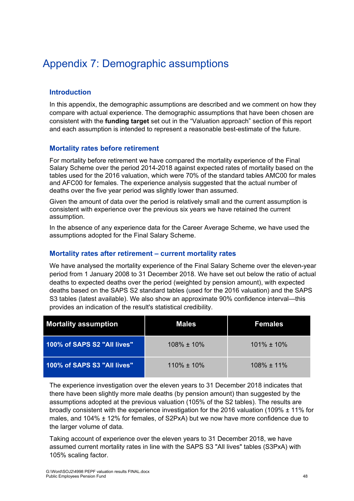# Appendix 7: Demographic assumptions

# **Introduction**

In this appendix, the demographic assumptions are described and we comment on how they compare with actual experience. The demographic assumptions that have been chosen are consistent with the **funding target** set out in the "Valuation approach" section of this report and each assumption is intended to represent a reasonable best-estimate of the future.

# **Mortality rates before retirement**

For mortality before retirement we have compared the mortality experience of the Final Salary Scheme over the period 2014-2018 against expected rates of mortality based on the tables used for the 2016 valuation, which were 70% of the standard tables AMC00 for males and AFC00 for females. The experience analysis suggested that the actual number of deaths over the five year period was slightly lower than assumed.

Given the amount of data over the period is relatively small and the current assumption is consistent with experience over the previous six years we have retained the current assumption.

In the absence of any experience data for the Career Average Scheme, we have used the assumptions adopted for the Final Salary Scheme.

# **Mortality rates after retirement – current mortality rates**

We have analysed the mortality experience of the Final Salary Scheme over the eleven-year period from 1 January 2008 to 31 December 2018. We have set out below the ratio of actual deaths to expected deaths over the period (weighted by pension amount), with expected deaths based on the SAPS S2 standard tables (used for the 2016 valuation) and the SAPS S3 tables (latest available). We also show an approximate 90% confidence interval—this provides an indication of the result's statistical credibility.

| <b>Mortality assumption</b> | <b>Males</b>     | <b>Females</b>   |
|-----------------------------|------------------|------------------|
| 100% of SAPS S2 "All lives" | $108\% \pm 10\%$ | $101\% \pm 10\%$ |
| 100% of SAPS S3 "All lives" | 110% ± 10%       | $108\% \pm 11\%$ |

The experience investigation over the eleven years to 31 December 2018 indicates that there have been slightly more male deaths (by pension amount) than suggested by the assumptions adopted at the previous valuation (105% of the S2 tables). The results are broadly consistent with the experience investigation for the 2016 valuation (109% ± 11% for males, and 104% ± 12% for females, of S2PxA) but we now have more confidence due to the larger volume of data.

Taking account of experience over the eleven years to 31 December 2018, we have assumed current mortality rates in line with the SAPS S3 "All lives" tables (S3PxA) with 105% scaling factor.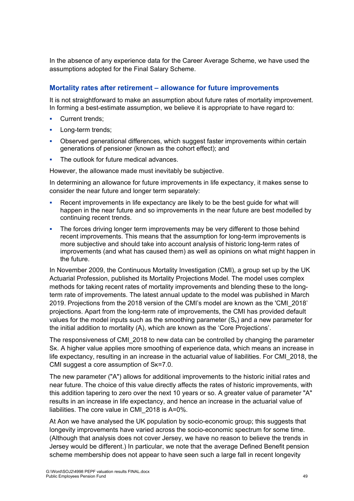In the absence of any experience data for the Career Average Scheme, we have used the assumptions adopted for the Final Salary Scheme.

# **Mortality rates after retirement – allowance for future improvements**

It is not straightforward to make an assumption about future rates of mortality improvement. In forming a best-estimate assumption, we believe it is appropriate to have regard to:

- Current trends;
- **Long-term trends:**
- Observed generational differences, which suggest faster improvements within certain generations of pensioner (known as the cohort effect); and
- The outlook for future medical advances.

However, the allowance made must inevitably be subjective.

In determining an allowance for future improvements in life expectancy, it makes sense to consider the near future and longer term separately:

- Recent improvements in life expectancy are likely to be the best guide for what will happen in the near future and so improvements in the near future are best modelled by continuing recent trends.
- The forces driving longer term improvements may be very different to those behind recent improvements. This means that the assumption for long-term improvements is more subjective and should take into account analysis of historic long-term rates of improvements (and what has caused them) as well as opinions on what might happen in the future.

In November 2009, the Continuous Mortality Investigation (CMI), a group set up by the UK Actuarial Profession, published its Mortality Projections Model. The model uses complex methods for taking recent rates of mortality improvements and blending these to the longterm rate of improvements. The latest annual update to the model was published in March 2019. Projections from the 2018 version of the CMI's model are known as the 'CMI\_2018' projections. Apart from the long-term rate of improvements, the CMI has provided default values for the model inputs such as the smoothing parameter  $(S<sub>k</sub>)$  and a new parameter for the initial addition to mortality (A), which are known as the 'Core Projections'.

The responsiveness of CMI\_2018 to new data can be controlled by changing the parameter Sκ. A higher value applies more smoothing of experience data, which means an increase in life expectancy, resulting in an increase in the actuarial value of liabilities. For CMI\_2018, the CMI suggest a core assumption of Sκ=7.0.

The new parameter ("A") allows for additional improvements to the historic initial rates and near future. The choice of this value directly affects the rates of historic improvements, with this addition tapering to zero over the next 10 years or so. A greater value of parameter "A" results in an increase in life expectancy, and hence an increase in the actuarial value of liabilities. The core value in CMI\_2018 is A=0%.

At Aon we have analysed the UK population by socio-economic group; this suggests that longevity improvements have varied across the socio-economic spectrum for some time. (Although that analysis does not cover Jersey, we have no reason to believe the trends in Jersey would be different.) In particular, we note that the average Defined Benefit pension scheme membership does not appear to have seen such a large fall in recent longevity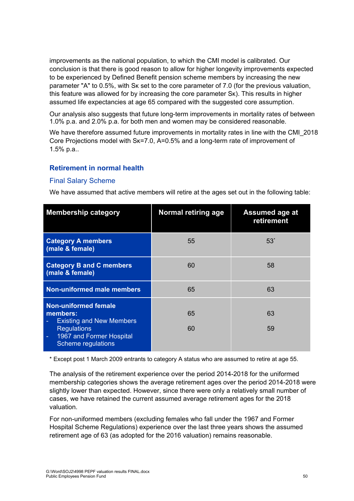improvements as the national population, to which the CMI model is calibrated. Our conclusion is that there is good reason to allow for higher longevity improvements expected to be experienced by Defined Benefit pension scheme members by increasing the new parameter "A" to 0.5%, with Sκ set to the core parameter of 7.0 (for the previous valuation, this feature was allowed for by increasing the core parameter Sκ). This results in higher assumed life expectancies at age 65 compared with the suggested core assumption.

Our analysis also suggests that future long-term improvements in mortality rates of between 1.0% p.a. and 2.0% p.a. for both men and women may be considered reasonable.

We have therefore assumed future improvements in mortality rates in line with the CMI\_2018 Core Projections model with Sκ=7.0, A=0.5% and a long-term rate of improvement of 1.5% p.a..

#### **Retirement in normal health**

#### Final Salary Scheme

We have assumed that active members will retire at the ages set out in the following table:

| <b>Membership category</b>                                                                                                                              | <b>Normal retiring age</b> | <b>Assumed age at</b><br>retirement |
|---------------------------------------------------------------------------------------------------------------------------------------------------------|----------------------------|-------------------------------------|
| <b>Category A members</b><br>(male & female)                                                                                                            | 55                         | $53*$                               |
| <b>Category B and C members</b><br>(male & female)                                                                                                      | 60                         | 58                                  |
| <b>Non-uniformed male members</b>                                                                                                                       | 65                         | 63                                  |
| <b>Non-uniformed female</b><br>members:<br><b>Existing and New Members</b><br><b>Regulations</b><br>1967 and Former Hospital<br>Ξ<br>Scheme regulations | 65<br>60                   | 63<br>59                            |

\* Except post 1 March 2009 entrants to category A status who are assumed to retire at age 55.

The analysis of the retirement experience over the period 2014-2018 for the uniformed membership categories shows the average retirement ages over the period 2014-2018 were slightly lower than expected. However, since there were only a relatively small number of cases, we have retained the current assumed average retirement ages for the 2018 valuation.

For non-uniformed members (excluding females who fall under the 1967 and Former Hospital Scheme Regulations) experience over the last three years shows the assumed retirement age of 63 (as adopted for the 2016 valuation) remains reasonable.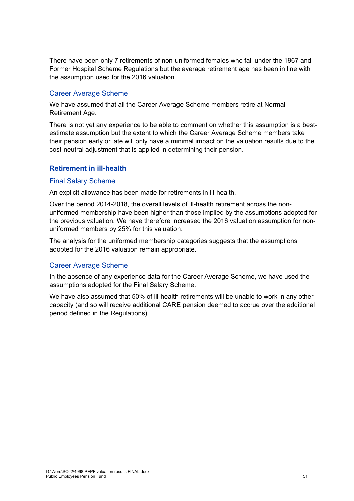There have been only 7 retirements of non-uniformed females who fall under the 1967 and Former Hospital Scheme Regulations but the average retirement age has been in line with the assumption used for the 2016 valuation.

#### Career Average Scheme

We have assumed that all the Career Average Scheme members retire at Normal Retirement Age.

There is not yet any experience to be able to comment on whether this assumption is a bestestimate assumption but the extent to which the Career Average Scheme members take their pension early or late will only have a minimal impact on the valuation results due to the cost-neutral adjustment that is applied in determining their pension.

# **Retirement in ill-health**

#### Final Salary Scheme

An explicit allowance has been made for retirements in ill-health.

Over the period 2014-2018, the overall levels of ill-health retirement across the nonuniformed membership have been higher than those implied by the assumptions adopted for the previous valuation. We have therefore increased the 2016 valuation assumption for nonuniformed members by 25% for this valuation.

The analysis for the uniformed membership categories suggests that the assumptions adopted for the 2016 valuation remain appropriate.

# Career Average Scheme

In the absence of any experience data for the Career Average Scheme, we have used the assumptions adopted for the Final Salary Scheme.

We have also assumed that 50% of ill-health retirements will be unable to work in any other capacity (and so will receive additional CARE pension deemed to accrue over the additional period defined in the Regulations).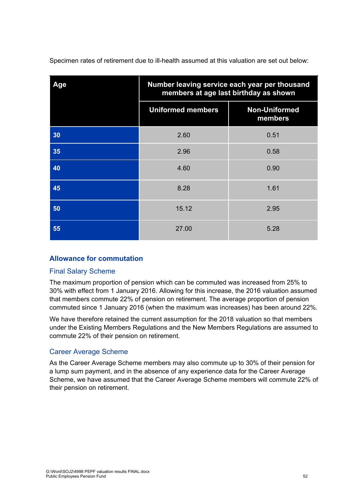Specimen rates of retirement due to ill-health assumed at this valuation are set out below:

| Age | Number leaving service each year per thousand<br>members at age last birthday as shown |                                 |
|-----|----------------------------------------------------------------------------------------|---------------------------------|
|     | <b>Uniformed members</b>                                                               | <b>Non-Uniformed</b><br>members |
| 30  | 2.60                                                                                   | 0.51                            |
| 35  | 2.96                                                                                   | 0.58                            |
| 40  | 4.60                                                                                   | 0.90                            |
| 45  | 8.28                                                                                   | 1.61                            |
| 50  | 15.12                                                                                  | 2.95                            |
| 55  | 27.00                                                                                  | 5.28                            |

# **Allowance for commutation**

# Final Salary Scheme

The maximum proportion of pension which can be commuted was increased from 25% to 30% with effect from 1 January 2016. Allowing for this increase, the 2016 valuation assumed that members commute 22% of pension on retirement. The average proportion of pension commuted since 1 January 2016 (when the maximum was increases) has been around 22%.

We have therefore retained the current assumption for the 2018 valuation so that members under the Existing Members Regulations and the New Members Regulations are assumed to commute 22% of their pension on retirement.

# Career Average Scheme

As the Career Average Scheme members may also commute up to 30% of their pension for a lump sum payment, and in the absence of any experience data for the Career Average Scheme, we have assumed that the Career Average Scheme members will commute 22% of their pension on retirement.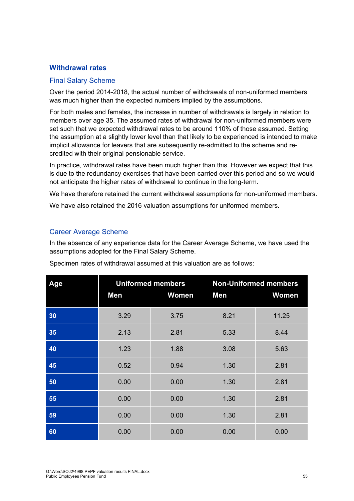#### **Withdrawal rates**

#### Final Salary Scheme

Over the period 2014-2018, the actual number of withdrawals of non-uniformed members was much higher than the expected numbers implied by the assumptions.

For both males and females, the increase in number of withdrawals is largely in relation to members over age 35. The assumed rates of withdrawal for non-uniformed members were set such that we expected withdrawal rates to be around 110% of those assumed. Setting the assumption at a slightly lower level than that likely to be experienced is intended to make implicit allowance for leavers that are subsequently re-admitted to the scheme and recredited with their original pensionable service.

In practice, withdrawal rates have been much higher than this. However we expect that this is due to the redundancy exercises that have been carried over this period and so we would not anticipate the higher rates of withdrawal to continue in the long-term.

We have therefore retained the current withdrawal assumptions for non-uniformed members.

We have also retained the 2016 valuation assumptions for uniformed members.

#### Career Average Scheme

In the absence of any experience data for the Career Average Scheme, we have used the assumptions adopted for the Final Salary Scheme.

| Age | <b>Uniformed members</b> |              | <b>Non-Uniformed members</b> |       |
|-----|--------------------------|--------------|------------------------------|-------|
|     | Men                      | <b>Women</b> | Men                          | Women |
| 30  | 3.29                     | 3.75         | 8.21                         | 11.25 |
| 35  | 2.13                     | 2.81         | 5.33                         | 8.44  |
| 40  | 1.23                     | 1.88         | 3.08                         | 5.63  |
| 45  | 0.52                     | 0.94         | 1.30                         | 2.81  |
| 50  | 0.00                     | 0.00         | 1.30                         | 2.81  |
| 55  | 0.00                     | 0.00         | 1.30                         | 2.81  |
| 59  | 0.00                     | 0.00         | 1.30                         | 2.81  |
| 60  | 0.00                     | 0.00         | 0.00                         | 0.00  |

Specimen rates of withdrawal assumed at this valuation are as follows: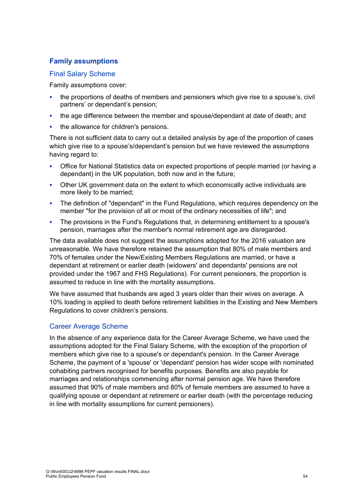# **Family assumptions**

#### Final Salary Scheme

Family assumptions cover:

- the proportions of deaths of members and pensioners which give rise to a spouse's, civil partners' or dependant's pension;
- the age difference between the member and spouse/dependant at date of death; and
- the allowance for children's pensions.

There is not sufficient data to carry out a detailed analysis by age of the proportion of cases which give rise to a spouse's/dependant's pension but we have reviewed the assumptions having regard to:

- Office for National Statistics data on expected proportions of people married (or having a dependant) in the UK population, both now and in the future;
- Other UK government data on the extent to which economically active individuals are more likely to be married;
- The definition of "dependant" in the Fund Regulations, which requires dependency on the member "for the provision of all or most of the ordinary necessities of life"; and
- The provisions in the Fund's Regulations that, in determining entitlement to a spouse's pension, marriages after the member's normal retirement age are disregarded.

The data available does not suggest the assumptions adopted for the 2016 valuation are unreasonable. We have therefore retained the assumption that 80% of male members and 70% of females under the New/Existing Members Regulations are married, or have a dependant at retirement or earlier death (widowers' and dependants' pensions are not provided under the 1967 and FHS Regulations). For current pensioners, the proportion is assumed to reduce in line with the mortality assumptions.

We have assumed that husbands are aged 3 years older than their wives on average. A 10% loading is applied to death before retirement liabilities in the Existing and New Members Regulations to cover children's pensions.

# Career Average Scheme

In the absence of any experience data for the Career Average Scheme, we have used the assumptions adopted for the Final Salary Scheme, with the exception of the proportion of members which give rise to a spouse's or dependant's pension. In the Career Average Scheme, the payment of a 'spouse' or 'dependant' pension has wider scope with nominated cohabiting partners recognised for benefits purposes. Benefits are also payable for marriages and relationships commencing after normal pension age. We have therefore assumed that 90% of male members and 80% of female members are assumed to have a qualifying spouse or dependant at retirement or earlier death (with the percentage reducing in line with mortality assumptions for current pensioners).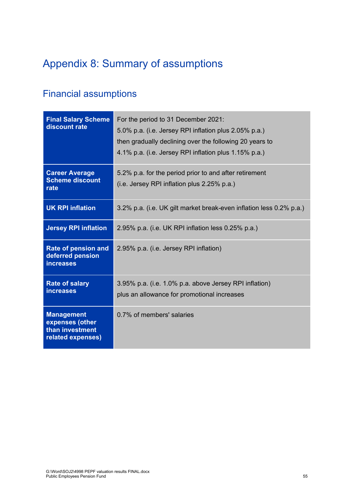# Appendix 8: Summary of assumptions

# Financial assumptions

| <b>Final Salary Scheme</b><br>discount rate                                  | For the period to 31 December 2021:<br>5.0% p.a. (i.e. Jersey RPI inflation plus 2.05% p.a.)<br>then gradually declining over the following 20 years to<br>4.1% p.a. (i.e. Jersey RPI inflation plus 1.15% p.a.) |
|------------------------------------------------------------------------------|------------------------------------------------------------------------------------------------------------------------------------------------------------------------------------------------------------------|
| <b>Career Average</b><br><b>Scheme discount</b><br>rate                      | 5.2% p.a. for the period prior to and after retirement<br>(i.e. Jersey RPI inflation plus 2.25% p.a.)                                                                                                            |
| <b>UK RPI inflation</b>                                                      | 3.2% p.a. (i.e. UK gilt market break-even inflation less 0.2% p.a.)                                                                                                                                              |
| <b>Jersey RPI inflation</b>                                                  | 2.95% p.a. (i.e. UK RPI inflation less 0.25% p.a.)                                                                                                                                                               |
| Rate of pension and<br>deferred pension<br><b>increases</b>                  | 2.95% p.a. (i.e. Jersey RPI inflation)                                                                                                                                                                           |
| <b>Rate of salary</b><br><b>increases</b>                                    | 3.95% p.a. (i.e. 1.0% p.a. above Jersey RPI inflation)<br>plus an allowance for promotional increases                                                                                                            |
| <b>Management</b><br>expenses (other<br>than investment<br>related expenses) | 0.7% of members' salaries                                                                                                                                                                                        |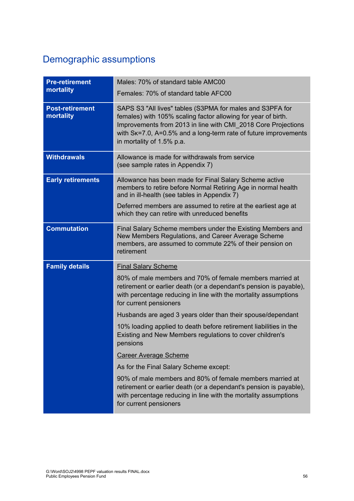# Demographic assumptions

| <b>Pre-retirement</b><br>mortality  | Males: 70% of standard table AMC00<br>Females: 70% of standard table AFC00                                                                                                                                                                                                                  |
|-------------------------------------|---------------------------------------------------------------------------------------------------------------------------------------------------------------------------------------------------------------------------------------------------------------------------------------------|
| <b>Post-retirement</b><br>mortality | SAPS S3 "All lives" tables (S3PMA for males and S3PFA for<br>females) with 105% scaling factor allowing for year of birth.<br>Improvements from 2013 in line with CMI_2018 Core Projections<br>with Sk=7.0, A=0.5% and a long-term rate of future improvements<br>in mortality of 1.5% p.a. |
| <b>Withdrawals</b>                  | Allowance is made for withdrawals from service<br>(see sample rates in Appendix 7)                                                                                                                                                                                                          |
| <b>Early retirements</b>            | Allowance has been made for Final Salary Scheme active<br>members to retire before Normal Retiring Age in normal health<br>and in ill-health (see tables in Appendix 7)                                                                                                                     |
|                                     | Deferred members are assumed to retire at the earliest age at<br>which they can retire with unreduced benefits                                                                                                                                                                              |
| <b>Commutation</b>                  | Final Salary Scheme members under the Existing Members and<br>New Members Regulations, and Career Average Scheme<br>members, are assumed to commute 22% of their pension on<br>retirement                                                                                                   |
| <b>Family details</b>               | <b>Final Salary Scheme</b>                                                                                                                                                                                                                                                                  |
|                                     | 80% of male members and 70% of female members married at<br>retirement or earlier death (or a dependant's pension is payable),<br>with percentage reducing in line with the mortality assumptions<br>for current pensioners                                                                 |
|                                     | Husbands are aged 3 years older than their spouse/dependant                                                                                                                                                                                                                                 |
|                                     | 10% loading applied to death before retirement liabilities in the<br>Existing and New Members regulations to cover children's<br>pensions                                                                                                                                                   |
|                                     | <b>Career Average Scheme</b>                                                                                                                                                                                                                                                                |
|                                     | As for the Final Salary Scheme except:                                                                                                                                                                                                                                                      |
|                                     | 90% of male members and 80% of female members married at<br>retirement or earlier death (or a dependant's pension is payable),<br>with percentage reducing in line with the mortality assumptions<br>for current pensioners                                                                 |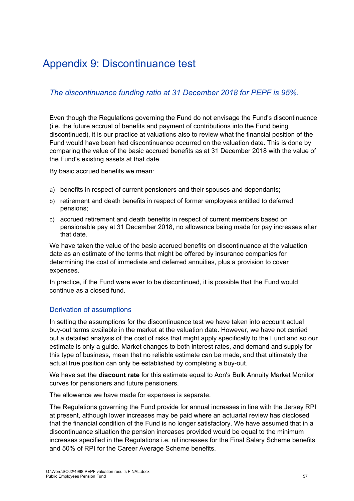# Appendix 9: Discontinuance test

# *The discontinuance funding ratio at 31 December 2018 for PEPF is 95%.*

Even though the Regulations governing the Fund do not envisage the Fund's discontinuance (i.e. the future accrual of benefits and payment of contributions into the Fund being discontinued), it is our practice at valuations also to review what the financial position of the Fund would have been had discontinuance occurred on the valuation date. This is done by comparing the value of the basic accrued benefits as at 31 December 2018 with the value of the Fund's existing assets at that date.

By basic accrued benefits we mean:

- a) benefits in respect of current pensioners and their spouses and dependants;
- b) retirement and death benefits in respect of former employees entitled to deferred pensions;
- c) accrued retirement and death benefits in respect of current members based on pensionable pay at 31 December 2018, no allowance being made for pay increases after that date.

We have taken the value of the basic accrued benefits on discontinuance at the valuation date as an estimate of the terms that might be offered by insurance companies for determining the cost of immediate and deferred annuities, plus a provision to cover expenses.

In practice, if the Fund were ever to be discontinued, it is possible that the Fund would continue as a closed fund.

# Derivation of assumptions

In setting the assumptions for the discontinuance test we have taken into account actual buy-out terms available in the market at the valuation date. However, we have not carried out a detailed analysis of the cost of risks that might apply specifically to the Fund and so our estimate is only a guide. Market changes to both interest rates, and demand and supply for this type of business, mean that no reliable estimate can be made, and that ultimately the actual true position can only be established by completing a buy-out.

We have set the **discount rate** for this estimate equal to Aon's Bulk Annuity Market Monitor curves for pensioners and future pensioners.

The allowance we have made for expenses is separate.

The Regulations governing the Fund provide for annual increases in line with the Jersey RPI at present, although lower increases may be paid where an actuarial review has disclosed that the financial condition of the Fund is no longer satisfactory. We have assumed that in a discontinuance situation the pension increases provided would be equal to the minimum increases specified in the Regulations i.e. nil increases for the Final Salary Scheme benefits and 50% of RPI for the Career Average Scheme benefits.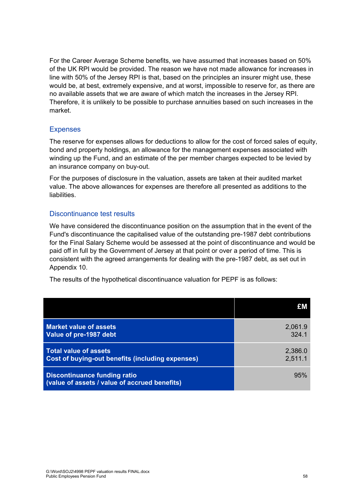For the Career Average Scheme benefits, we have assumed that increases based on 50% of the UK RPI would be provided. The reason we have not made allowance for increases in line with 50% of the Jersey RPI is that, based on the principles an insurer might use, these would be, at best, extremely expensive, and at worst, impossible to reserve for, as there are no available assets that we are aware of which match the increases in the Jersey RPI. Therefore, it is unlikely to be possible to purchase annuities based on such increases in the market.

# Expenses

The reserve for expenses allows for deductions to allow for the cost of forced sales of equity, bond and property holdings, an allowance for the management expenses associated with winding up the Fund, and an estimate of the per member charges expected to be levied by an insurance company on buy-out.

For the purposes of disclosure in the valuation, assets are taken at their audited market value. The above allowances for expenses are therefore all presented as additions to the liabilities.

#### Discontinuance test results

We have considered the discontinuance position on the assumption that in the event of the Fund's discontinuance the capitalised value of the outstanding pre-1987 debt contributions for the Final Salary Scheme would be assessed at the point of discontinuance and would be paid off in full by the Government of Jersey at that point or over a period of time. This is consistent with the agreed arrangements for dealing with the pre-1987 debt, as set out in Appendix 10.

The results of the hypothetical discontinuance valuation for PEPF is as follows:

|                                                                                      | £M      |
|--------------------------------------------------------------------------------------|---------|
| <b>Market value of assets</b>                                                        | 2,061.9 |
| Value of pre-1987 debt                                                               | 324.1   |
| <b>Total value of assets</b>                                                         | 2,386.0 |
| Cost of buying-out benefits (including expenses)                                     | 2,511.1 |
| <b>Discontinuance funding ratio</b><br>(value of assets / value of accrued benefits) | 95%     |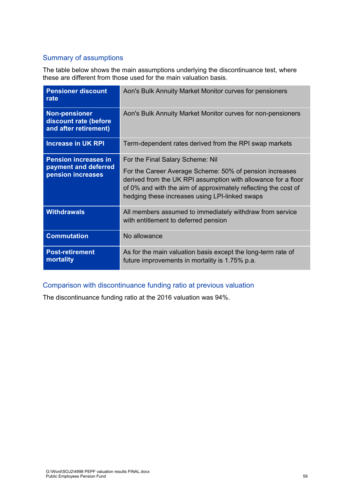# Summary of assumptions

The table below shows the main assumptions underlying the discontinuance test, where these are different from those used for the main valuation basis.

| <b>Pensioner discount</b><br>rate                                        | Aon's Bulk Annuity Market Monitor curves for pensioners                                                                                                                                                                                                                          |
|--------------------------------------------------------------------------|----------------------------------------------------------------------------------------------------------------------------------------------------------------------------------------------------------------------------------------------------------------------------------|
| <b>Non-pensioner</b><br>discount rate (before<br>and after retirement)   | Aon's Bulk Annuity Market Monitor curves for non-pensioners                                                                                                                                                                                                                      |
| <b>Increase in UK RPI</b>                                                | Term-dependent rates derived from the RPI swap markets                                                                                                                                                                                                                           |
| <b>Pension increases in</b><br>payment and deferred<br>pension increases | For the Final Salary Scheme: Nil<br>For the Career Average Scheme: 50% of pension increases<br>derived from the UK RPI assumption with allowance for a floor<br>of 0% and with the aim of approximately reflecting the cost of<br>hedging these increases using LPI-linked swaps |
| <b>Withdrawals</b>                                                       | All members assumed to immediately withdraw from service<br>with entitlement to deferred pension                                                                                                                                                                                 |
| <b>Commutation</b>                                                       | No allowance                                                                                                                                                                                                                                                                     |
| <b>Post-retirement</b><br>mortality                                      | As for the main valuation basis except the long-term rate of<br>future improvements in mortality is 1.75% p.a.                                                                                                                                                                   |

# Comparison with discontinuance funding ratio at previous valuation

The discontinuance funding ratio at the 2016 valuation was 94%.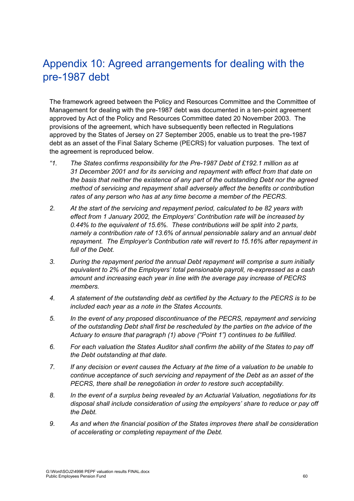# Appendix 10: Agreed arrangements for dealing with the pre-1987 debt

The framework agreed between the Policy and Resources Committee and the Committee of Management for dealing with the pre-1987 debt was documented in a ten-point agreement approved by Act of the Policy and Resources Committee dated 20 November 2003. The provisions of the agreement, which have subsequently been reflected in Regulations approved by the States of Jersey on 27 September 2005, enable us to treat the pre-1987 debt as an asset of the Final Salary Scheme (PECRS) for valuation purposes. The text of the agreement is reproduced below.

- *"1. The States confirms responsibility for the Pre-1987 Debt of £192.1 million as at 31 December 2001 and for its servicing and repayment with effect from that date on the basis that neither the existence of any part of the outstanding Debt nor the agreed method of servicing and repayment shall adversely affect the benefits or contribution rates of any person who has at any time become a member of the PECRS.*
- *2. At the start of the servicing and repayment period, calculated to be 82 years with effect from 1 January 2002, the Employers' Contribution rate will be increased by 0.44% to the equivalent of 15.6%. These contributions will be split into 2 parts, namely a contribution rate of 13.6% of annual pensionable salary and an annual debt repayment. The Employer's Contribution rate will revert to 15.16% after repayment in full of the Debt.*
- *3. During the repayment period the annual Debt repayment will comprise a sum initially equivalent to 2% of the Employers' total pensionable payroll, re-expressed as a cash amount and increasing each year in line with the average pay increase of PECRS members.*
- *4. A statement of the outstanding debt as certified by the Actuary to the PECRS is to be included each year as a note in the States Accounts.*
- *5. In the event of any proposed discontinuance of the PECRS, repayment and servicing of the outstanding Debt shall first be rescheduled by the parties on the advice of the Actuary to ensure that paragraph (1) above ("Point 1") continues to be fulfilled.*
- *6. For each valuation the States Auditor shall confirm the ability of the States to pay off the Debt outstanding at that date.*
- *7. If any decision or event causes the Actuary at the time of a valuation to be unable to continue acceptance of such servicing and repayment of the Debt as an asset of the PECRS, there shall be renegotiation in order to restore such acceptability.*
- *8. In the event of a surplus being revealed by an Actuarial Valuation, negotiations for its disposal shall include consideration of using the employers' share to reduce or pay off the Debt.*
- *9. As and when the financial position of the States improves there shall be consideration of accelerating or completing repayment of the Debt.*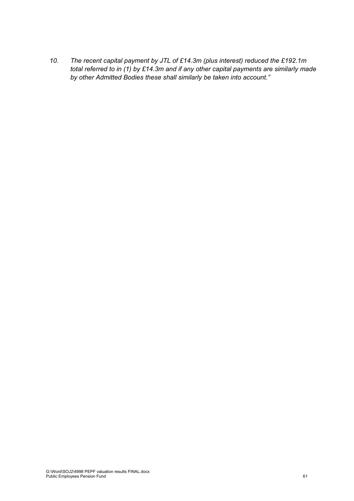*10. The recent capital payment by JTL of £14.3m (plus interest) reduced the £192.1m total referred to in (1) by £14.3m and if any other capital payments are similarly made by other Admitted Bodies these shall similarly be taken into account."*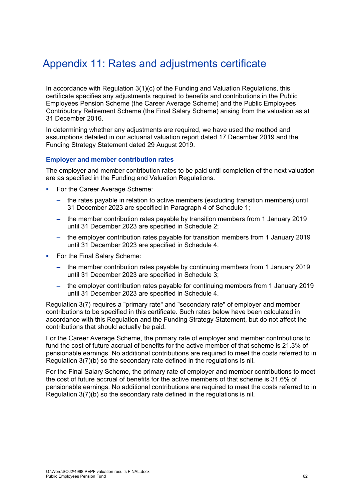# Appendix 11: Rates and adjustments certificate

In accordance with Regulation 3(1)(c) of the Funding and Valuation Regulations, this certificate specifies any adjustments required to benefits and contributions in the Public Employees Pension Scheme (the Career Average Scheme) and the Public Employees Contributory Retirement Scheme (the Final Salary Scheme) arising from the valuation as at 31 December 2016.

In determining whether any adjustments are required, we have used the method and assumptions detailed in our actuarial valuation report dated 17 December 2019 and the Funding Strategy Statement dated 29 August 2019.

#### **Employer and member contribution rates**

The employer and member contribution rates to be paid until completion of the next valuation are as specified in the Funding and Valuation Regulations.

- For the Career Average Scheme:
	- the rates payable in relation to active members (excluding transition members) until 31 December 2023 are specified in Paragraph 4 of Schedule 1;
	- the member contribution rates payable by transition members from 1 January 2019 until 31 December 2023 are specified in Schedule 2;
	- the employer contribution rates payable for transition members from 1 January 2019 until 31 December 2023 are specified in Schedule 4.
- For the Final Salary Scheme:
	- the member contribution rates payable by continuing members from 1 January 2019 until 31 December 2023 are specified in Schedule 3;
	- the employer contribution rates payable for continuing members from 1 January 2019 until 31 December 2023 are specified in Schedule 4.

Regulation 3(7) requires a "primary rate" and "secondary rate" of employer and member contributions to be specified in this certificate. Such rates below have been calculated in accordance with this Regulation and the Funding Strategy Statement, but do not affect the contributions that should actually be paid.

For the Career Average Scheme, the primary rate of employer and member contributions to fund the cost of future accrual of benefits for the active member of that scheme is 21.3% of pensionable earnings. No additional contributions are required to meet the costs referred to in Regulation 3(7)(b) so the secondary rate defined in the regulations is nil.

For the Final Salary Scheme, the primary rate of employer and member contributions to meet the cost of future accrual of benefits for the active members of that scheme is 31.6% of pensionable earnings. No additional contributions are required to meet the costs referred to in Regulation 3(7)(b) so the secondary rate defined in the regulations is nil.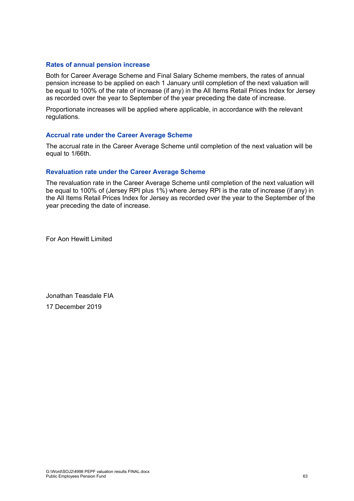#### **Rates of annual pension increase**

Both for Career Average Scheme and Final Salary Scheme members, the rates of annual pension increase to be applied on each 1 January until completion of the next valuation will be equal to 100% of the rate of increase (if any) in the All Items Retail Prices Index for Jersey as recorded over the year to September of the year preceding the date of increase.

Proportionate increases will be applied where applicable, in accordance with the relevant regulations.

#### **Accrual rate under the Career Average Scheme**

The accrual rate in the Career Average Scheme until completion of the next valuation will be equal to 1/66th.

#### **Revaluation rate under the Career Average Scheme**

The revaluation rate in the Career Average Scheme until completion of the next valuation will be equal to 100% of (Jersey RPI plus 1%) where Jersey RPI is the rate of increase (if any) in the All Items Retail Prices Index for Jersey as recorded over the year to the September of the year preceding the date of increase.

For Aon Hewitt Limited

Jonathan Teasdale FIA 17 December 2019